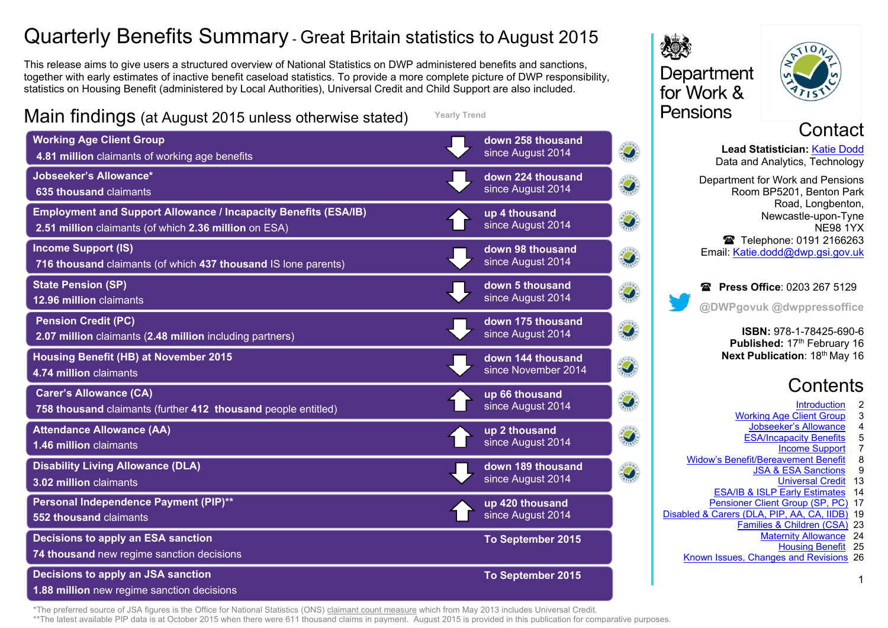# Quarterly Benefits Summary - Great Britain statistics to August 2015

This release aims to give users a structured overview of National Statistics on DWP administered benefits and sanctions, together with early estimates of inactive benefit caseload statistics. To provide a more complete picture of DWP responsibility, statistics on Housing Benefit (administered by Local Authorities), Universal Credit and Child Support are also included.

**Yearly Trend**

Main findings (at August 2015 unless otherwise stated)

**Working Age Client Group down 258 thousand** since August 2014 **4.81 million** claimants of working age benefits **Jobseeker's Allowance\* down 224 thousand** since August 2014 **635 thousand** claimants **Employment and Support Allowance / Incapacity Benefits (ESA/IB) up 4 thousand**  $\mathcal{D}$ since August 2014 **2.51 million** claimants (of which **2.36 million** on ESA) **Income Support (IS) down 98 thousand** Ø since August 2014 **716 thousand** claimants (of which **437 thousand** IS lone parents) **State Pension (SP) down 5 thousand**  $\hat{O}$ since August 2014 **12.96 million** claimants **Pension Credit (PC) down 175 thousand** Ō, since August 2014 **2.07 million** claimants (**2.48 million** including partners) **Housing Benefit (HB) at November 2015 down 144 thousand**   $\mathcal{O}$ since November 2014 **4.74 million** claimants **Carer's Allowance (CA) up 66 thousand**  Ō, since August 2014 **758 thousand** claimants (further **412 thousand** people entitled) **Attendance Allowance (AA) up 2 thousand** Ó since August 2014 **1.46 million** claimants **Disability Living Allowance (DLA) down 189 thousand**  $\widehat{\mathcal{O}}$ since August 2014 **3.02 million** claimants **Personal Independence Payment (PIP)\*\* up 420 thousand** since August 2014 **552 thousand** claimants **Decisions to apply an ESA sanction To September 2015 74 thousand** new regime sanction decisions **Decisions to apply an JSA sanction To September 2015**



 $\overline{Q}$ 



**Contact**<br>Lead Statistician: <u>Katie Dodd</u>

**Lead Statistician:** [Katie Dodd](#page-25-0) Data and Analytics, Technology

Department for Work and Pensions Room BP5201, Benton Park Road, Longbenton, Newcastle-upon-Tyne NE98 1YX ■ Telephone: 0191 2166263 Email: [Katie.dodd@dwp.gsi.gov.uk](mailto:katie.dodd@dwp.gsi.gov.uk)

**Press Office: 0203 267 5129 @DWPgovuk @dwppressoffice**

> **ISBN:** 978-1-78425-690-6 **Published:** 17<sup>th</sup> February 16 **Next Publication: 18th May 16**

# **Contents**

- **Introduction** 2<br>Client Group 3
- [Working Age Client Group](#page-2-0) 3<br>Jobseeker's Allowance 4
	- **Jobseeker's Allowance** 4<br>SA/Incapacity Benefits 5
	- ESA/Incapacity Benefits
		- [Income Support](#page-6-0) 7
- Widow's Benefit/Bereavement Benefit<br>USA & ESA Sanctions
	- [JSA & ESA Sanctions](#page-8-0) 9
		- [Universal Credit](#page-12-0) 13
	- [ESA/IB & ISLP Early Estimates](#page-13-0) 14
- [Pensioner Client Group \(SP, PC\)](#page-16-0) 17 [Disabled & Carers \(DLA, PIP, AA, CA, IIDB\)](#page-18-0) 19
	- [Families & Children \(CSA\)](#page-22-0) 23
		- [Maternity Allowance](#page-23-0) 24
			- [Housing Benefit](#page-24-0) 25

1

[Known Issues, Changes and Revisions](#page-25-1) 26

**1.88 million** new regime sanction decisions

\*The preferred source of JSA figures is the Office for National Statistics (ONS) [claimant count measure](https://www.nomisweb.co.uk/query/select/getdatasetbytheme.asp?theme=72) which from May 2013 includes Universal Credit.

\*\*The latest available [PIP](https://www.gov.uk/government/collections/personal-independence-payment-statistics) data is at October 2015 when there were 611 thousand claims in payment. August 2015 is provided in this publication for comparative purposes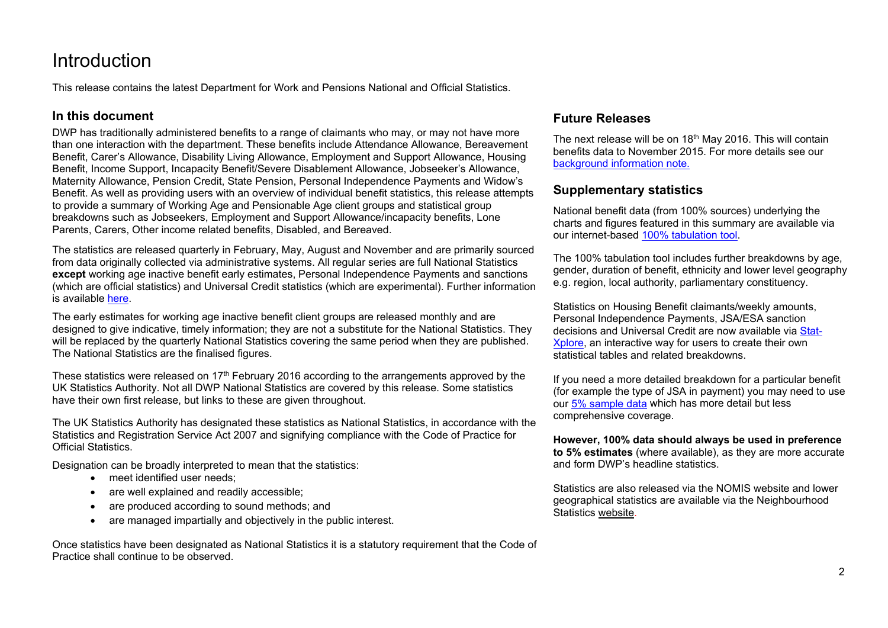# <span id="page-1-0"></span>**Introduction**

This release contains the latest Department for Work and Pensions National and Official Statistics.

#### **In this document**

DWP has traditionally administered benefits to a range of claimants who may, or may not have more than one interaction with the department. These benefits include Attendance Allowance, Bereavement Benefit, Carer's Allowance, Disability Living Allowance, Employment and Support Allowance, Housing Benefit, Income Support, Incapacity Benefit/Severe Disablement Allowance, Jobseeker's Allowance, Maternity Allowance, Pension Credit, State Pension, Personal Independence Payments and Widow's Benefit. As well as providing users with an overview of individual benefit statistics, this release attempts to provide a summary of Working Age and Pensionable Age client groups and statistical group breakdowns such as Jobseekers, Employment and Support Allowance/incapacity benefits, Lone Parents, Carers, Other income related benefits, Disabled, and Bereaved.

The statistics are released quarterly in February, May, August and November and are primarily sourced from data originally collected via administrative systems. All regular series are full National Statistics **except** working age inactive benefit early estimates, Personal Independence Payments and sanctions (which are official statistics) and Universal Credit statistics (which are experimental). Further information is available [here.](http://www.statisticsauthority.gov.uk/national-statistician/types-of-official-statistics)

The early estimates for working age inactive benefit client groups are released monthly and are designed to give indicative, timely information; they are not a substitute for the National Statistics. They will be replaced by the quarterly National Statistics covering the same period when they are published. The National Statistics are the finalised figures.

These statistics were released on  $17<sup>th</sup>$  February 2016 according to the arrangements approved by the UK Statistics Authority. Not all DWP National Statistics are covered by this release. Some statistics have their own first release, but links to these are given throughout.

The UK Statistics Authority has designated these statistics as National Statistics, in accordance with the Statistics and Registration Service Act 2007 and signifying compliance with the Code of Practice for Official Statistics.

Designation can be broadly interpreted to mean that the statistics:

- meet identified user needs:
- are well explained and readily accessible;
- are produced according to sound methods; and
- are managed impartially and objectively in the public interest.

Once statistics have been designated as National Statistics it is a statutory requirement that the Code of Practice shall continue to be observed.

### **Future Releases**

The next release will be on 18<sup>th</sup> May 2016. This will contain benefits data to November 2015. For more details see our background information note.

#### **Supplementary statistics**

National benefit data (from 100% sources) underlying the charts and figures featured in this summary are available via our internet-based [100% tabulation tool.](http://tabulation-tool.dwp.gov.uk/100pc/tabtool.html)

The 100% tabulation tool includes further breakdowns by age, gender, duration of benefit, ethnicity and lower level geography e.g. region, local authority, parliamentary constituency.

Statistics on Housing Benefit claimants/weekly amounts, Personal Independence Payments, JSA/ESA sanction decisions and Universal Credit are now available via [Stat-](https://stat-xplore.dwp.gov.uk/)[Xplore,](https://stat-xplore.dwp.gov.uk/) an interactive way for users to create their own statistical tables and related breakdowns.

If you need a more detailed breakdown for a particular benefit (for example the type of JSA in payment) you may need to use ou[r 5% sample data](http://tabulation-tool.dwp.gov.uk/5pc/tabtool.html) which has more detail but less comprehensive coverage.

**However, 100% data should always be used in preference to 5% estimates** (where available), as they are more accurate and form DWP's headline statistics.

Statistics are also released via the NOMIS website and lower geographical statistics are available via the Neighbourhood Statistics [website.](https://www.nomisweb.co.uk/Default.asp)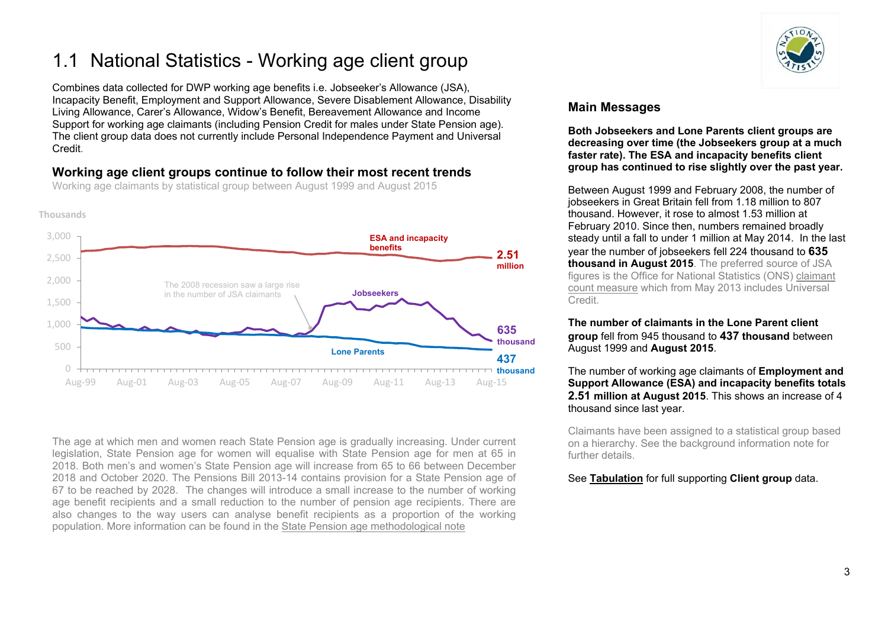# <span id="page-2-0"></span>1.1 National Statistics - Working age client group

Combines data collected for DWP working age benefits i.e. Jobseeker's Allowance (JSA), Incapacity Benefit, Employment and Support Allowance, Severe Disablement Allowance, Disability Living Allowance, Carer's Allowance, Widow's Benefit, Bereavement Allowance and Income Support for working age claimants (including Pension Credit for males under State Pension age). The client group data does not currently include Personal Independence Payment and Universal Credit.

## **Working age client groups continue to follow their most recent trends**



Working age claimants by statistical group between August 1999 and August 2015

The age at which men and women reach State Pension age is gradually increasing. Under current legislation, State Pension age for women will equalise with State Pension age for men at 65 in 2018. Both men's and women's State Pension age will increase from 65 to 66 between December 2018 and October 2020. The Pensions Bill 2013-14 contains provision for a State Pension age of 67 to be reached by 2028. The changes will introduce a small increase to the number of working age benefit recipients and a small reduction to the number of pension age recipients. There are also changes to the way users can analyse benefit recipients as a proportion of the working population. More information can be found in the [State Pension age methodological note](https://www.gov.uk/government/uploads/system/uploads/attachment_data/file/181343/spa-timetable.pdf)



## **Main Messages**

**Both Jobseekers and Lone Parents client groups are decreasing over time (the Jobseekers group at a much faster rate). The ESA and incapacity benefits client group has continued to rise slightly over the past year.**

Between August 1999 and February 2008, the number of jobseekers in Great Britain fell from 1.18 million to 807 thousand. However, it rose to almost 1.53 million at February 2010. Since then, numbers remained broadly steady until a fall to under 1 million at May 2014. In the last year the number of jobseekers fell 224 thousand to **635 thousand in August 2015**. The preferred source of JSA figures is the Office for National Statistics (ONS) [claimant](https://www.nomisweb.co.uk/query/select/getdatasetbytheme.asp?theme=72)  [count measure](https://www.nomisweb.co.uk/query/select/getdatasetbytheme.asp?theme=72) which from May 2013 includes Universal Credit.

#### **The number of claimants in the Lone Parent client group** fell from 945 thousand to **437 thousand** between August 1999 and **August 2015**.

The number of working age claimants of **Employment and Support Allowance (ESA) and incapacity benefits totals 2.51 million at August 2015**. This shows an increase of 4 thousand since last year.

Claimants have been assigned to a statistical group based on a hierarchy. See the background information note for further details.

#### See **[Tabulation](http://tabulation-tool.dwp.gov.uk/100pc/wa/ccdate/ccstatgp/a_carate_r_ccdate_c_ccstatgp.html)** for full supporting **Client group** data.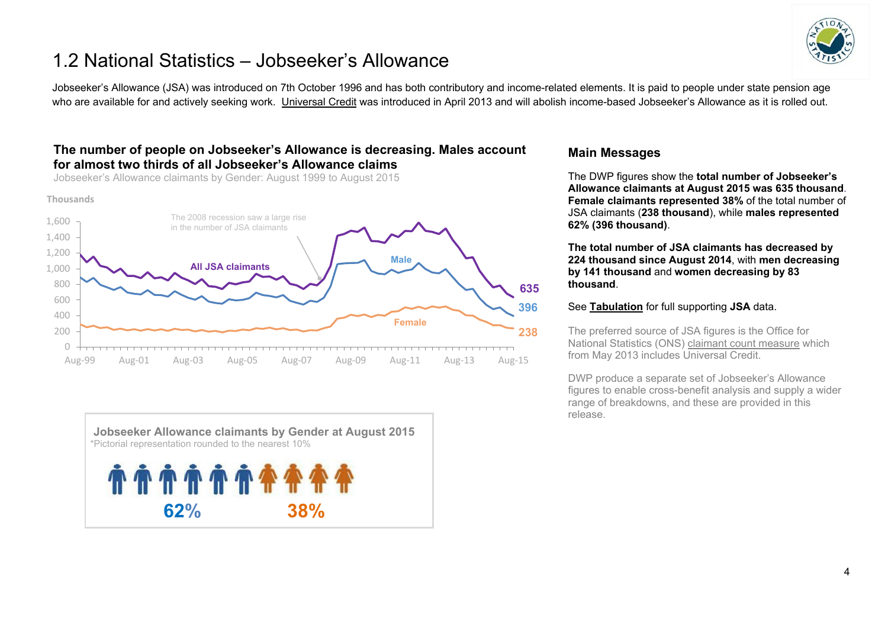

## <span id="page-3-0"></span>1.2 National Statistics – Jobseeker's Allowance

Jobseeker's Allowance (JSA) was introduced on 7th October 1996 and has both contributory and income-related elements. It is paid to people under state pension age who are available for and actively seeking work. [Universal Credit](https://www.gov.uk/government/collections/universal-credit-statistics) was introduced in April 2013 and will abolish income-based Jobseeker's Allowance as it is rolled out.

#### **The number of people on Jobseeker's Allowance is decreasing. Males account for almost two thirds of all Jobseeker's Allowance claims**

Jobseeker's Allowance claimants by Gender: August 1999 to August 2015

**Thousands**





#### **Main Messages**

The DWP figures show the **total number of Jobseeker's Allowance claimants at August 2015 was 635 thousand**. **Female claimants represented 38%** of the total number of JSA claimants (**238 thousand**), while **males represented 62% (396 thousand)**.

**The total number of JSA claimants has decreased by 224 thousand since August 2014**, with **men decreasing by 141 thousand** and **women decreasing by 83 thousand**.

#### See **[Tabulation](http://tabulation-tool.dwp.gov.uk/100pc/jsa/ccdate/ccsex/a_carate_r_ccdate_c_ccsex.html)** for full supporting **JSA** data.

The preferred source of JSA figures is the Office for National Statistics (ONS) [claimant count measure](https://www.nomisweb.co.uk/query/select/getdatasetbytheme.asp?theme=72) which from May 2013 includes Universal Credit.

DWP produce a separate set of Jobseeker's Allowance figures to enable cross-benefit analysis and supply a wider range of breakdowns, and these are provided in this release.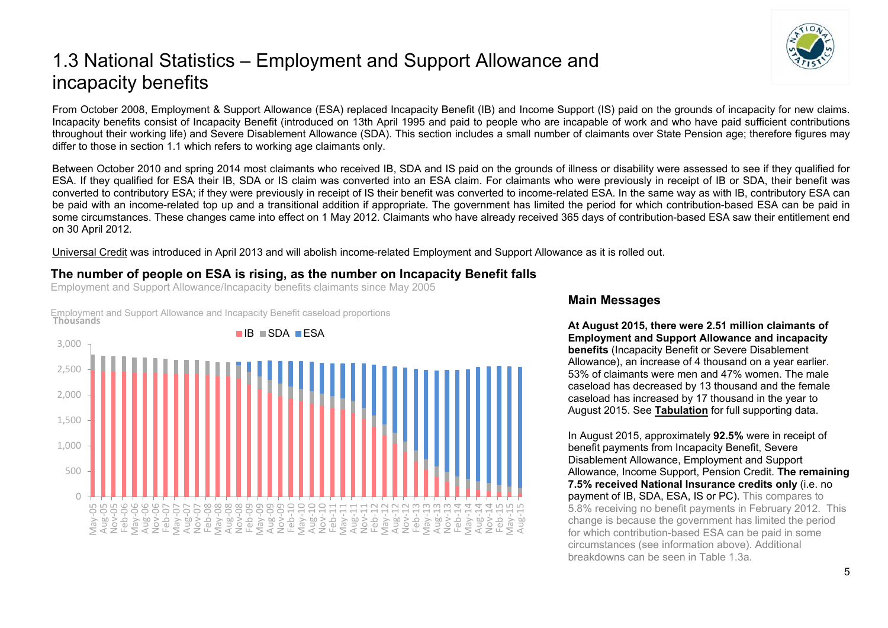# <span id="page-4-0"></span>1.3 National Statistics – Employment and Support Allowance and incapacity benefits

From October 2008, Employment & Support Allowance (ESA) replaced Incapacity Benefit (IB) and Income Support (IS) paid on the grounds of incapacity for new claims. Incapacity benefits consist of Incapacity Benefit (introduced on 13th April 1995 and paid to people who are incapable of work and who have paid sufficient contributions throughout their working life) and Severe Disablement Allowance (SDA). This section includes a small number of claimants over State Pension age; therefore figures may differ to those in section 1.1 which refers to working age claimants only.

Between October 2010 and spring 2014 most claimants who received IB, SDA and IS paid on the grounds of illness or disability were assessed to see if they qualified for ESA. If they qualified for ESA their IB, SDA or IS claim was converted into an ESA claim. For claimants who were previously in receipt of IB or SDA, their benefit was converted to contributory ESA; if they were previously in receipt of IS their benefit was converted to income-related ESA. In the same way as with IB, contributory ESA can be paid with an income-related top up and a transitional addition if appropriate. The government has limited the period for which contribution-based ESA can be paid in some circumstances. These changes came into effect on 1 May 2012. Claimants who have already received 365 days of contribution-based ESA saw their entitlement end on 30 April 2012*.* 

[Universal Credit](https://www.gov.uk/government/collections/universal-credit-statistics) was introduced in April 2013 and will abolish income-related Employment and Support Allowance as it is rolled out.

#### **The number of people on ESA is rising, as the number on Incapacity Benefit falls**

Employment and Support Allowance/Incapacity benefits claimants since May 2005

Employment and Support Allowance and Incapacity Benefit caseload proportions **Thousands**



#### **Main Messages**

**At August 2015, there were 2.51 million claimants of Employment and Support Allowance and incapacity benefits** (Incapacity Benefit or Severe Disablement Allowance), an increase of 4 thousand on a year earlier. 53% of claimants were men and 47% women. The male caseload has decreased by 13 thousand and the female caseload has increased by 17 thousand in the year to August 2015. See **[Tabulation](http://tabulation-tool.dwp.gov.uk/100pc/tabtool.html)** for full supporting data.

In August 2015, approximately **92.5%** were in receipt of benefit payments from Incapacity Benefit, Severe Disablement Allowance, Employment and Support Allowance, Income Support, Pension Credit. **The remaining 7.5% received National Insurance credits only** (i.e. no payment of IB, SDA, ESA, IS or PC). This compares to 5.8% receiving no benefit payments in February 2012. This change is because the government has limited the period for which contribution-based ESA can be paid in some circumstances (see information above). Additional breakdowns can be seen in Table 1.3a.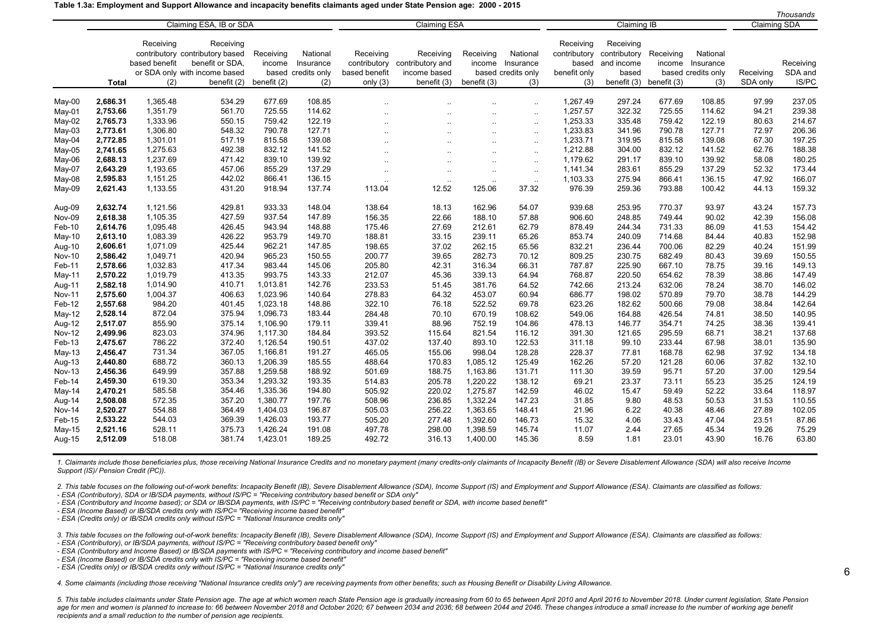#### **Table 1.3a: Employment and Support Allowance and incapacity benefits claimants aged under State Pension age: 2000 - 2015**

|               |                         |               |                                 |                     |                    |               |                      |                      |                    |                     |                           |             |                    |           | Thousands |
|---------------|-------------------------|---------------|---------------------------------|---------------------|--------------------|---------------|----------------------|----------------------|--------------------|---------------------|---------------------------|-------------|--------------------|-----------|-----------|
|               | Claiming ESA, IB or SDA |               |                                 | <b>Claiming ESA</b> |                    |               | <b>Claiming IB</b>   |                      |                    | <b>Claiming SDA</b> |                           |             |                    |           |           |
|               |                         |               |                                 |                     |                    |               |                      |                      |                    |                     |                           |             |                    |           |           |
|               |                         | Receiving     | Receiving                       |                     |                    |               |                      |                      |                    | Receiving           | Receiving                 |             |                    |           |           |
|               |                         |               | contributory contributory based | Receiving           | National           | Receiving     | Receiving            | Receiving            | National           |                     | contributory contributory | Receiving   | National           |           |           |
|               |                         | based benefit | benefit or SDA.                 | income              | Insurance          | contributory  | contributory and     |                      | income Insurance   | based               | and income                | income      | Insurance          |           | Receiving |
|               |                         |               | or SDA only with income based   |                     | based credits only | based benefit | income based         |                      | based credits only | benefit only        | based                     |             | based credits only | Receiving | SDA and   |
|               | Total                   | (2)           | benefit (2)                     | benefit (2)         | (2)                | only $(3)$    | benefit (3)          | benefit (3)          | (3)                | (3)                 | benefit (3)               | benefit (3) | (3)                | SDA only  | IS/PC     |
|               |                         |               |                                 |                     |                    |               |                      |                      |                    |                     |                           |             |                    |           |           |
| May-00        | 2,686.31                | 1,365.48      | 534.29                          | 677.69              | 108.85             |               |                      |                      | $\ddotsc$          | 1.267.49            | 297.24                    | 677.69      | 108.85             | 97.99     | 237.05    |
| May-01        | 2,753.66                | 1,351.79      | 561.70                          | 725.55              | 114.62             |               |                      | $\ddot{\phantom{a}}$ | $\sim$             | 1,257.57            | 322.32                    | 725.55      | 114.62             | 94.21     | 239.38    |
| May-02        | 2,765.73                | 1,333.96      | 550.15                          | 759.42              | 122.19             |               | $\ddot{\phantom{a}}$ | $\ddot{\phantom{a}}$ | $\ldots$           | 1,253.33            | 335.48                    | 759.42      | 122.19             | 80.63     | 214.67    |
| $May-03$      | 2,773.61                | 1,306.80      | 548.32                          | 790.78              | 127.71             |               | $\ddot{\phantom{a}}$ | $\ddot{\phantom{a}}$ | $\ldots$           | 1,233.83            | 341.96                    | 790.78      | 127.71             | 72.97     | 206.36    |
| May-04        | 2,772.85                | 1,301.01      | 517.19                          | 815.58              | 139.08             |               |                      | $\ddotsc$            | $\ldots$           | 1,233.71            | 319.95                    | 815.58      | 139.08             | 67.30     | 197.25    |
| $May-05$      | 2,741.65                | 1,275.63      | 492.38                          | 832.12              | 141.52             |               | Ω.                   | $\ddotsc$            | $\ldots$           | 1,212.88            | 304.00                    | 832.12      | 141.52             | 62.76     | 188.38    |
| May-06        | 2,688.13                | 1,237.69      | 471.42                          | 839.10              | 139.92             | $\ddotsc$     | $\ddotsc$            | $\ddotsc$            | $\ddotsc$          | 1,179.62            | 291.17                    | 839.10      | 139.92             | 58.08     | 180.25    |
| May-07        | 2,643.29                | 1,193.65      | 457.06                          | 855.29              | 137.29             |               |                      | $\ldots$             | $\ldots$           | 1,141.34            | 283.61                    | 855.29      | 137.29             | 52.32     | 173.44    |
| $May-08$      | 2,595.83                | 1,151.25      | 442.02                          | 866.41              | 136.15             | $\ddotsc$     | $\ddotsc$            | $\ddotsc$            | $\sim$             | 1,103.33            | 275.94                    | 866.41      | 136.15             | 47.92     | 166.07    |
| May-09        | 2,621.43                | 1,133.55      | 431.20                          | 918.94              | 137.74             | 113.04        | 12.52                | 125.06               | 37.32              | 976.39              | 259.36                    | 793.88      | 100.42             | 44.13     | 159.32    |
| Aug-09        | 2,632.74                | 1,121.56      | 429.81                          | 933.33              | 148.04             | 138.64        | 18.13                | 162.96               | 54.07              | 939.68              | 253.95                    | 770.37      | 93.97              | 43.24     | 157.73    |
| Nov-09        | 2,618.38                | 1,105.35      | 427.59                          | 937.54              | 147.89             | 156.35        | 22.66                | 188.10               | 57.88              | 906.60              | 248.85                    | 749.44      | 90.02              | 42.39     | 156.08    |
| Feb-10        | 2,614.76                | 1,095.48      | 426.45                          | 943.94              | 148.88             | 175.46        | 27.69                | 212.61               | 62.79              | 878.49              | 244.34                    | 731.33      | 86.09              | 41.53     | 154.42    |
| May-10        | 2,613.10                | 1,083.39      | 426.22                          | 953.79              | 149.70             | 188.81        | 33.15                | 239.11               | 65.26              | 853.74              | 240.09                    | 714.68      | 84.44              | 40.83     | 152.98    |
| Aug-10        | 2,606.61                | 1,071.09      | 425.44                          | 962.21              | 147.85             | 198.65        | 37.02                | 262.15               | 65.56              | 832.21              | 236.44                    | 700.06      | 82.29              | 40.24     | 151.99    |
| <b>Nov-10</b> | 2,586.42                | 1,049.71      | 420.94                          | 965.23              | 150.55             | 200.77        | 39.65                | 282.73               | 70.12              | 809.25              | 230.75                    | 682.49      | 80.43              | 39.69     | 150.55    |
| Feb-11        | 2,578.66                | 1,032.83      | 417.34                          | 983.44              | 145.06             | 205.80        | 42.31                | 316.34               | 66.31              | 787.87              | 225.90                    | 667.10      | 78.75              | 39.16     | 149.13    |
| May-11        | 2,570.22                | 1,019.79      | 413.35                          | 993.75              | 143.33             | 212.07        | 45.36                | 339.13               | 64.94              | 768.87              | 220.50                    | 654.62      | 78.39              | 38.86     | 147.49    |
| Aug-11        | 2,582.18                | 1,014.90      | 410.71                          | 1,013.81            | 142.76             | 233.53        | 51.45                | 381.76               | 64.52              | 742.66              | 213.24                    | 632.06      | 78.24              | 38.70     | 146.02    |
| <b>Nov-11</b> | 2,575.60                | 1,004.37      | 406.63                          | 1,023.96            | 140.64             | 278.83        | 64.32                | 453.07               | 60.94              | 686.77              | 198.02                    | 570.89      | 79.70              | 38.78     | 144.29    |
| Feb-12        | 2,557.68                | 984.20        | 401.45                          | 1,023.18            | 148.86             | 322.10        | 76.18                | 522.52               | 69.78              | 623.26              | 182.62                    | 500.66      | 79.08              | 38.84     | 142.64    |
| $May-12$      | 2,528.14                | 872.04        | 375.94                          | 1,096.73            | 183.44             | 284.48        | 70.10                | 670.19               | 108.62             | 549.06              | 164.88                    | 426.54      | 74.81              | 38.50     | 140.95    |
| Aug-12        | 2,517.07                | 855.90        | 375.14                          | 1,106.90            | 179.11             | 339.41        | 88.96                | 752.19               | 104.86             | 478.13              | 146.77                    | 354.71      | 74.25              | 38.36     | 139.41    |
| <b>Nov-12</b> | 2,499.96                | 823.03        | 374.96                          | 1,117.30            | 184.84             | 393.52        | 115.64               | 821.54               | 116.12             | 391.30              | 121.65                    | 295.59      | 68.71              | 38.21     | 137.68    |
| Feb-13        | 2,475.67                | 786.22        | 372.40                          | 1,126.54            | 190.51             | 437.02        | 137.40               | 893.10               | 122.53             | 311.18              | 99.10                     | 233.44      | 67.98              | 38.01     | 135.90    |
| $May-13$      | 2,456.47                | 731.34        | 367.05                          | 1,166.81            | 191.27             | 465.05        | 155.06               | 998.04               | 128.28             | 228.37              | 77.81                     | 168.78      | 62.98              | 37.92     | 134.18    |
| Aug-13        | 2,440.80                | 688.72        | 360.13                          | 1,206.39            | 185.55             | 488.64        | 170.83               | 1,085.12             | 125.49             | 162.26              | 57.20                     | 121.28      | 60.06              | 37.82     | 132.10    |
| <b>Nov-13</b> | 2,456.36                | 649.99        | 357.88                          | 1,259.58            | 188.92             | 501.69        | 188.75               | 1,163.86             | 131.71             | 111.30              | 39.59                     | 95.71       | 57.20              | 37.00     | 129.54    |
| Feb-14        | 2,459.30                | 619.30        | 353.34                          | 1,293.32            | 193.35             | 514.83        | 205.78               | 1,220.22             | 138.12             | 69.21               | 23.37                     | 73.11       | 55.23              | 35.25     | 124.19    |
| May-14        | 2,470.21                | 585.58        | 354.46                          | 1,335.36            | 194.80             | 505.92        | 220.02               | 1,275.87             | 142.59             | 46.02               | 15.47                     | 59.49       | 52.22              | 33.64     | 118.97    |
| Aug-14        | 2,508.08                | 572.35        | 357.20                          | 1,380.77            | 197.76             | 508.96        | 236.85               | 1,332.24             | 147.23             | 31.85               | 9.80                      | 48.53       | 50.53              | 31.53     | 110.55    |
| <b>Nov-14</b> | 2,520.27                | 554.88        | 364.49                          | 1,404.03            | 196.87             | 505.03        | 256.22               | 1,363.65             | 148.41             | 21.96               | 6.22                      | 40.38       | 48.46              | 27.89     | 102.05    |
| Feb-15        | 2,533.22                | 544.03        | 369.39                          | 1,426.03            | 193.77             | 505.20        | 277.48               | 1,392.60             | 146.73             | 15.32               | 4.06                      | 33.43       | 47.04              | 23.51     | 87.86     |
| $May-15$      | 2,521.16                | 528.11        | 375.73                          | 1,426.24            | 191.08             | 497.78        | 298.00               | 1,398.59             | 145.74             | 11.07               | 2.44                      | 27.65       | 45.34              | 19.26     | 75.29     |
| Aug-15        | 2,512.09                | 518.08        | 381.74                          | 1,423.01            | 189.25             | 492.72        | 316.13               | 1,400.00             | 145.36             | 8.59                | 1.81                      | 23.01       | 43.90              | 16.76     | 63.80     |
|               |                         |               |                                 |                     |                    |               |                      |                      |                    |                     |                           |             |                    |           |           |

1. Claimants include those beneficiaries plus, those receiving National Insurance Credits and no monetary payment (many credits-only claimants of Incapacity Benefit (IB) or Severe Disablement Allowance (SDA) will also rece *Support (IS)/ Pension Credit (PC)).*

2. This table focuses on the following out-of-work benefits: Incapacity Benefit (IB), Severe Disablement Allowance (SDA), Income Support (IS) and Employment and Support Allowance (ESA). Claimants are classified as follows:

*- ESA (Contributory), SDA or IB/SDA payments, without IS/PC = "Receiving contributory based benefit or SDA only"*

*- ESA (Contributory and Income based); or SDA or IB/SDA payments, with IS/PC = "Receiving contributory based benefit or SDA, with income based benefit"*

*- ESA (Income Based) or IB/SDA credits only with IS/PC= "Receiving income based benefit"*

*- ESA (Credits only) or IB/SDA credits only without IS/PC = "National Insurance credits only"*

3. This table focuses on the following out-of-work benefits: Incapacity Benefit (IB), Severe Disablement Allowance (SDA), Income Support (IS) and Employment and Support Allowance (ESA). Claimants are classified as follows:

*- ESA (Contributory), or IB/SDA payments, without IS/PC = "Receiving contributory based benefit only"*

*- ESA (Contributory and Income Based) or IB/SDA payments with IS/PC = "Receiving contributory and income based benefit"*

*- ESA (Income Based) or IB/SDA credits only with IS/PC = "Receiving income based benefit"*

*- ESA (Credits only) or IB/SDA credits only without IS/PC = "National Insurance credits only"*

*4. Some claimants (including those receiving "National Insurance credits only") are receiving payments from other benefits; such as Housing Benefit or Disability Living Allowance.*

6

5. This table includes claimants under State Pension age. The age at which women reach State Pension age is gradually increasing from 60 to 65 between April 2010 and April 2016 to November 2018. Under current legislation, age for men and women is planned to increase to: 66 between November 2018 and October 2020; 67 between 2034 and 2036; 68 between 2046 and 2046. These changes introduce a small increase to the number of working age benefit *recipients and a small reduction to the number of pension age recipients.*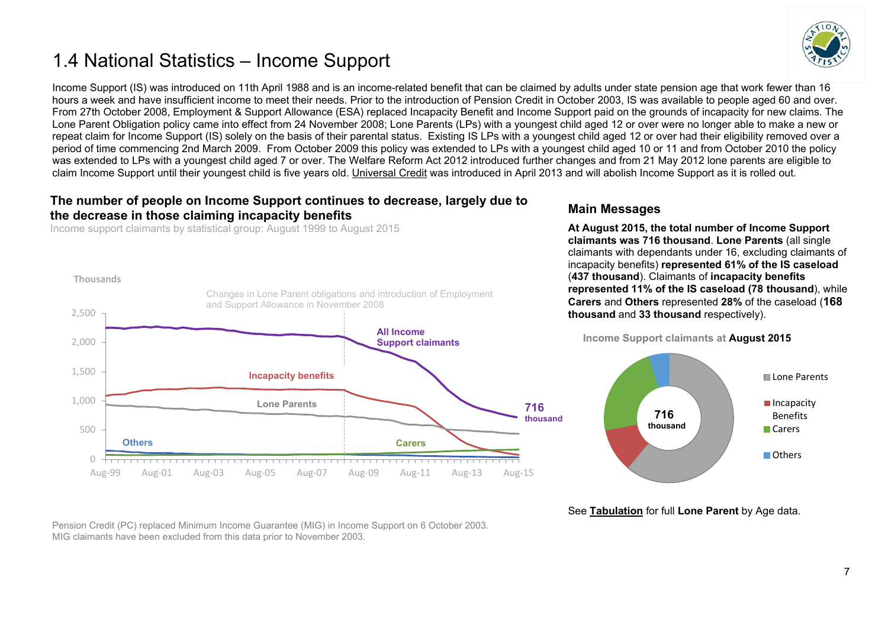# <span id="page-6-0"></span>1.4 National Statistics – Income Support



Income Support (IS) was introduced on 11th April 1988 and is an income-related benefit that can be claimed by adults under state pension age that work fewer than 16 hours a week and have insufficient income to meet their needs. Prior to the introduction of Pension Credit in October 2003, IS was available to people aged 60 and over. From 27th October 2008, Employment & Support Allowance (ESA) replaced Incapacity Benefit and Income Support paid on the grounds of incapacity for new claims. The Lone Parent Obligation policy came into effect from 24 November 2008; Lone Parents (LPs) with a youngest child aged 12 or over were no longer able to make a new or repeat claim for Income Support (IS) solely on the basis of their parental status. Existing IS LPs with a youngest child aged 12 or over had their eligibility removed over a period of time commencing 2nd March 2009. From October 2009 this policy was extended to LPs with a youngest child aged 10 or 11 and from October 2010 the policy was extended to LPs with a youngest child aged 7 or over. The Welfare Reform Act 2012 introduced further changes and from 21 May 2012 lone parents are eligible to claim Income Support until their youngest child is five years old. [Universal Credit](https://www.gov.uk/government/collections/universal-credit-statistics) was introduced in April 2013 and will abolish Income Support as it is rolled out.

#### **The number of people on Income Support continues to decrease, largely due to the decrease in those claiming incapacity benefits**

Income support claimants by statistical group: August 1999 to August 2015



#### **Main Messages**

**At August 2015, the total number of Income Support claimants was 716 thousand**. **Lone Parents** (all single claimants with dependants under 16, excluding claimants of incapacity benefits) **represented 61% of the IS caseload** (**437 thousand**). Claimants of **incapacity benefits represented 11% of the IS caseload (78 thousand**), while **Carers** and **Others** represented **28%** of the caseload (**168 thousand** and **33 thousand** respectively).





See **[Tabulation](http://tabulation-tool.dwp.gov.uk/100pc/is/cnage/ccsex/ccstatgp/a_carate_r_cnage_c_ccsex_p_ccstatgp_lone_parent_may15.html)** for full **Lone Parent** by Age data.

Pension Credit (PC) replaced Minimum Income Guarantee (MIG) in Income Support on 6 October 2003. MIG claimants have been excluded from this data prior to November 2003.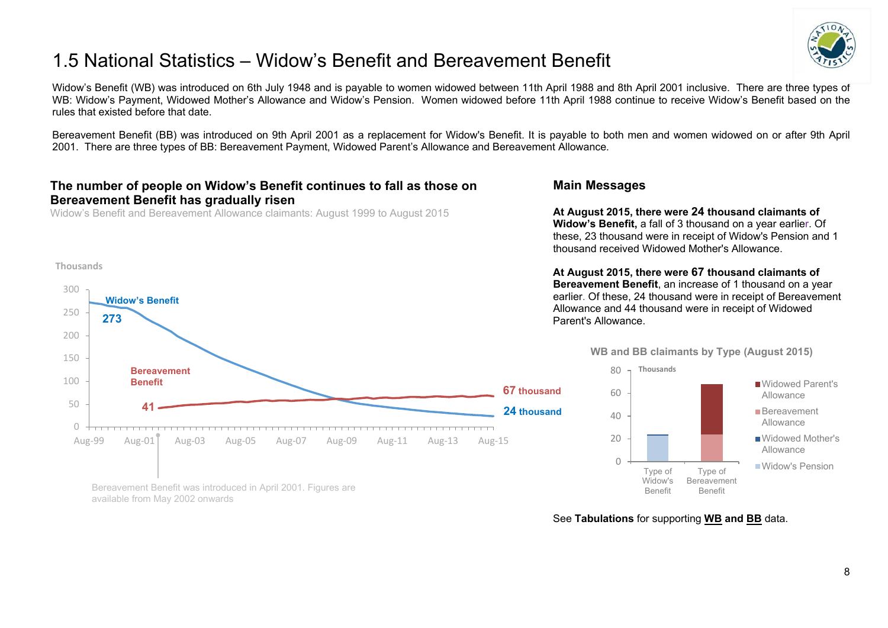# <span id="page-7-0"></span>1.5 National Statistics – Widow's Benefit and Bereavement Benefit



Widow's Benefit (WB) was introduced on 6th July 1948 and is payable to women widowed between 11th April 1988 and 8th April 2001 inclusive. There are three types of WB: Widow's Payment, Widowed Mother's Allowance and Widow's Pension. Women widowed before 11th April 1988 continue to receive Widow's Benefit based on the rules that existed before that date.

Bereavement Benefit (BB) was introduced on 9th April 2001 as a replacement for Widow's Benefit. It is payable to both men and women widowed on or after 9th April 2001. There are three types of BB: Bereavement Payment, Widowed Parent's Allowance and Bereavement Allowance*.* 

#### **The number of people on Widow's Benefit continues to fall as those on Bereavement Benefit has gradually risen**

Widow's Benefit and Bereavement Allowance claimants: August 1999 to August 2015

#### **Thousands**



Bereavement Benefit was introduced in April 2001. Figures are available from May 2002 onwards

#### **Main Messages**

**At August 2015, there were 24 thousand claimants of Widow's Benefit,** a fall of 3 thousand on a year earlier. Of these, 23 thousand were in receipt of Widow's Pension and 1 thousand received Widowed Mother's Allowance.

**At August 2015, there were 67 thousand claimants of Bereavement Benefit**, an increase of 1 thousand on a year earlier. Of these, 24 thousand were in receipt of Bereavement Allowance and 44 thousand were in receipt of Widowed Parent's Allowance.



Type of Bereavement Benefit



Widowed Mother's Allowance

Widow's Pension

See **Tabulations** for supporting **[WB](http://tabulation-tool.dwp.gov.uk/100pc/wb/ccdate/cat/a_carate_r_ccdate_c_cat.html) and [BB](http://tabulation-tool.dwp.gov.uk/100pc/bb/ccdate/cat/a_carate_r_ccdate_c_cat.html)** data.

Type of Widow's Benefit

 $\bigcap$ 

20

40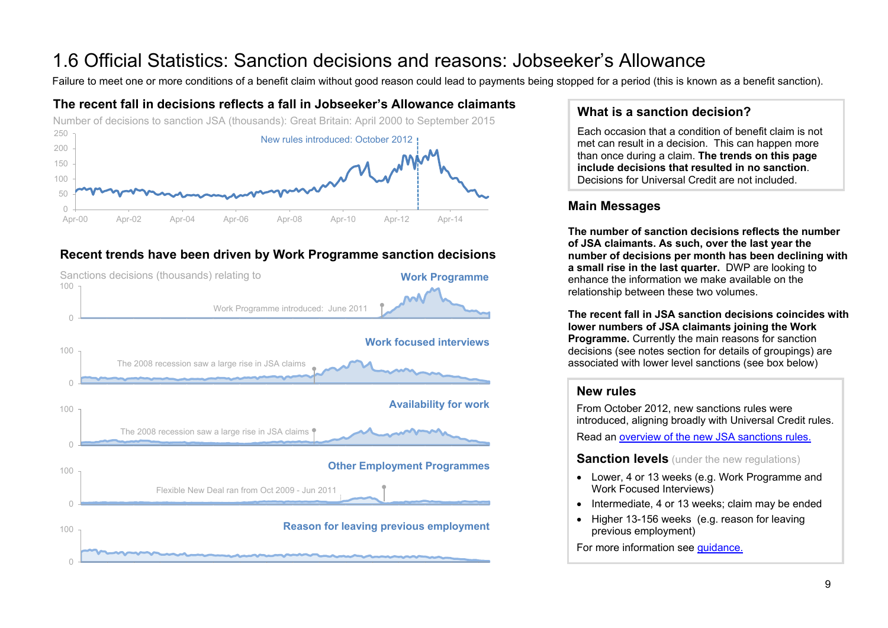# <span id="page-8-0"></span>1.6 Official Statistics: Sanction decisions and reasons: Jobseeker's Allowance<br>Failure to meet one or more conditions of a benefit claim without good reason could lead to payments being stopped for a period (this is known

## **The recent fall in decisions reflects a fall in Jobseeker's Allowance claimants**



## **Recent trends have been driven by Work Programme sanction decisions**



## **What is a sanction decision?**

Each occasion that a condition of benefit claim is not met can result in a decision. This can happen more than once during a claim. **The trends on this page include decisions that resulted in no sanction**. Decisions for Universal Credit are not included.

## **Main Messages**

**The number of sanction decisions reflects the number of JSA claimants. As such, over the last year the number of decisions per month has been declining with a small rise in the last quarter.** DWP are looking to enhance the information we make available on the relationship between these two volumes.

**The recent fall in JSA sanction decisions coincides with lower numbers of JSA claimants joining the Work Programme.** Currently the main reasons for sanction decisions (see notes section for details of groupings) are associated with lower level sanctions (see box below)

## **New rules**

From October 2012, new sanctions rules were introduced, aligning broadly with Universal Credit rules. Read an [overview of the new JSA sanctions rules.](https://www.gov.uk/government/publications/jobseekers-allowance-overview-of-sanctions-rules)

**Sanction levels** (under the new regulations)

- Lower, 4 or 13 weeks (e.g. Work Programme and Work Focused Interviews)
- Intermediate, 4 or 13 weeks; claim may be ended
- Higher 13-156 weeks (e.g. reason for leaving previous employment)

For more information see [guidance.](https://www.gov.uk/government/publications/jobseekers-allowance-sanctions-leaflet/jobseekers-allowance-sanctions-how-to-keep-your-benefit-payment)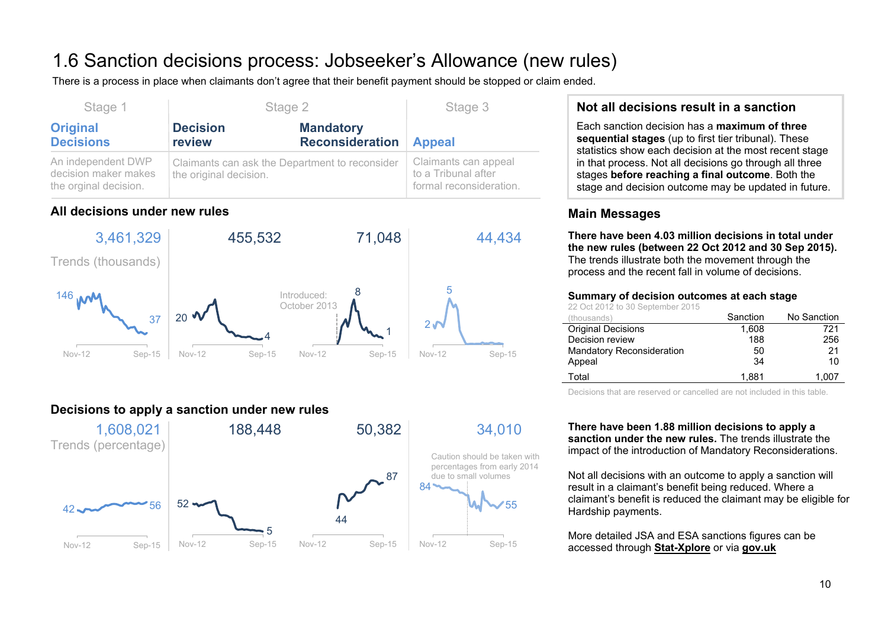# 1.6 Sanction decisions process: Jobseeker's Allowance (new rules)

There is a process in place when claimants don't agree that their benefit payment should be stopped or claim ended.

| Stage 1                                                             | Stage 2                   | Stage 3                                        |                                                                        |
|---------------------------------------------------------------------|---------------------------|------------------------------------------------|------------------------------------------------------------------------|
| <b>Original</b><br><b>Decisions</b>                                 | <b>Decision</b><br>review | <b>Mandatory</b><br><b>Reconsideration</b>     | <b>Appeal</b>                                                          |
| An independent DWP<br>decision maker makes<br>the orginal decision. | the original decision.    | Claimants can ask the Department to reconsider | Claimants can appeal<br>to a Tribunal after<br>formal reconsideration. |

## **All decisions under new rules**



## **Decisions to apply a sanction under new rules**



## **Not all decisions result in a sanction**

Each sanction decision has a **maximum of three sequential stages** (up to first tier tribunal). These statistics show each decision at the most recent stage in that process. Not all decisions go through all three stages **before reaching a final outcome**. Both the stage and decision outcome may be updated in future.

## **Main Messages**

**There have been 4.03 million decisions in total under the new rules (between 22 Oct 2012 and 30 Sep 2015).**  The trends illustrate both the movement through the process and the recent fall in volume of decisions.

#### **Summary of decision outcomes at each stage**

22 Oct 2012 to 30 September 2015

| (thousands)                      | Sanction | No Sanction |
|----------------------------------|----------|-------------|
| <b>Original Decisions</b>        | 1.608    | 721         |
| Decision review                  | 188      | 256         |
| <b>Mandatory Reconsideration</b> | 50       | 21          |
| Appeal                           | 34       | 10          |
| Total                            | 1.881    | 1.007       |

Decisions that are reserved or cancelled are not included in this table.

**There have been 1.88 million decisions to apply a sanction under the new rules.** The trends illustrate the impact of the introduction of Mandatory Reconsiderations.

Not all decisions with an outcome to apply a sanction will result in a claimant's benefit being reduced. Where a claimant's benefit is reduced the claimant may be eligible for Hardship payments.

More detailed JSA and ESA sanctions figures can be accessed through **[Stat-Xplore](https://stat-xplore.dwp.gov.uk/)** or via **[gov.uk](https://www.gov.uk/government/collections/jobseekers-allowance-sanctions)**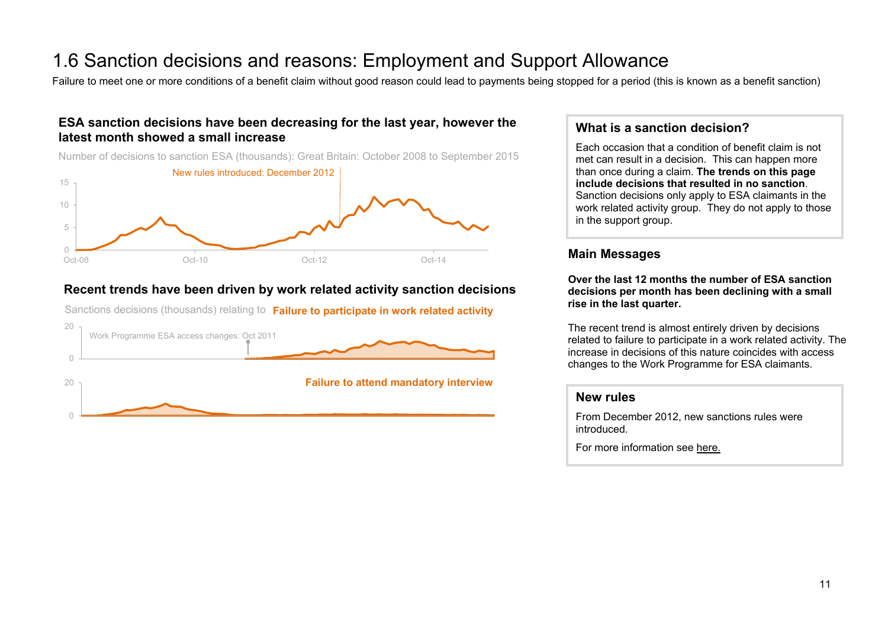# 1.6 Sanction decisions and reasons: Employment and Support Allowance<br>Failure to meet one or more conditions of a benefit claim without good reason could lead to payments being stopped for a period (this is known as a benef

#### **ESA sanction decisions have been decreasing for the last year, however the latest month showed a small increase**

Number of decisions to sanction ESA (thousands): Great Britain: October 2008 to September 2015



#### **Recent trends have been driven by work related activity sanction decisions**

Sanctions decisions (thousands) relating to **Failure to participate in work related activity**



#### **What is a sanction decision?**

Each occasion that a condition of benefit claim is not met can result in a decision. This can happen more than once during a claim. **The trends on this page include decisions that resulted in no sanction**. Sanction decisions only apply to ESA claimants in the work related activity group. They do not apply to those in the support group.

#### **Main Messages**

**Over the last 12 months the number of ESA sanction decisions per month has been declining with a small rise in the last quarter.** 

The recent trend is almost entirely driven by decisions related to failure to participate in a work related activity. The increase in decisions of this nature coincides with access changes to the Work Programme for ESA claimants.

#### **New rules**

From December 2012, new sanctions rules were introduced.

For more information see [here.](https://www.gov.uk/government/collections/jobseekers-allowance-sanctions)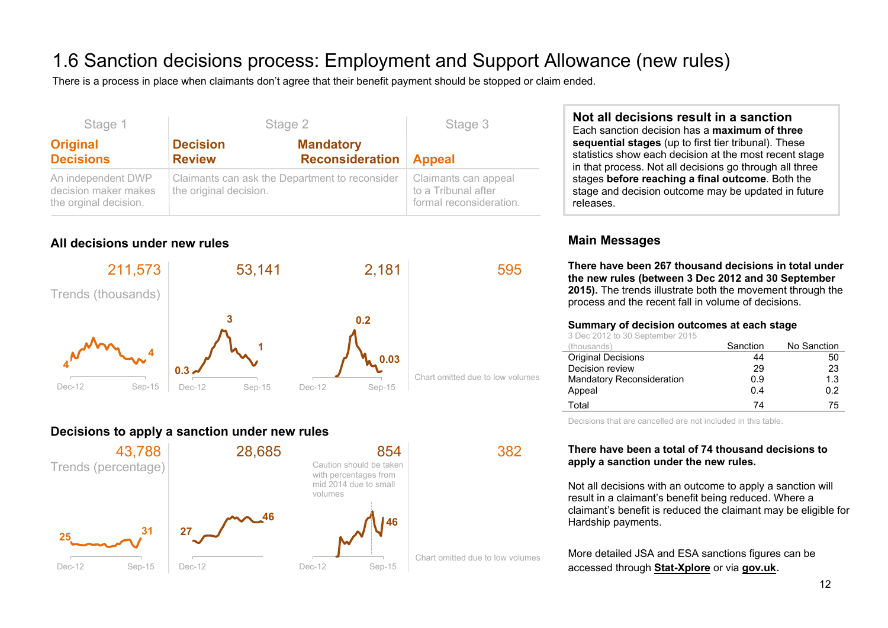# 1.6 Sanction decisions process: Employment and Support Allowance (new rules)

There is a process in place when claimants don't agree that their benefit payment should be stopped or claim ended.

| Stage 1                                                             | Stage 2                                                                  | Stage 3                                                                |               |  |
|---------------------------------------------------------------------|--------------------------------------------------------------------------|------------------------------------------------------------------------|---------------|--|
| <b>Original</b><br><b>Decisions</b>                                 | <b>Decision</b><br><b>Review</b>                                         | <b>Mandatory</b><br><b>Reconsideration</b>                             | <b>Appeal</b> |  |
| An independent DWP<br>decision maker makes<br>the orginal decision. | Claimants can ask the Department to reconsider<br>the original decision. | Claimants can appeal<br>to a Tribunal after<br>formal reconsideration. |               |  |

## **All decisions under new rules**



## **Decisions to apply a sanction under new rules**



**Not all decisions result in a sanction** Each sanction decision has a **maximum of three sequential stages** (up to first tier tribunal). These statistics show each decision at the most recent stage in that process. Not all decisions go through all three stages **before reaching a final outcome**. Both the stage and decision outcome may be updated in future

## **Main Messages**

releases.

**There have been 267 thousand decisions in total under the new rules (between 3 Dec 2012 and 30 September 2015).** The trends illustrate both the movement through the process and the recent fall in volume of decisions.

#### **Summary of decision outcomes at each stage**

3 Dec 2012 to 30 September 2015

| (thousands)                      | Sanction | No Sanction |
|----------------------------------|----------|-------------|
| <b>Original Decisions</b>        | 44       | 50          |
| Decision review                  | 29       | 23          |
| <b>Mandatory Reconsideration</b> | 0.9      | 1.3         |
| Appeal                           | 0.4      | 0.2         |
| Total                            | 74       | 75          |

Decisions that are cancelled are not included in this table.

#### **There have been a total of 74 thousand decisions to apply a sanction under the new rules.**

Not all decisions with an outcome to apply a sanction will result in a claimant's benefit being reduced. Where a claimant's benefit is reduced the claimant may be eligible for Hardship payments.

More detailed JSA and ESA sanctions figures can be accessed through **[Stat-Xplore](https://stat-xplore.dwp.gov.uk/)** or via **[gov.uk](https://www.gov.uk/government/collections/jobseekers-allowance-sanctions)**.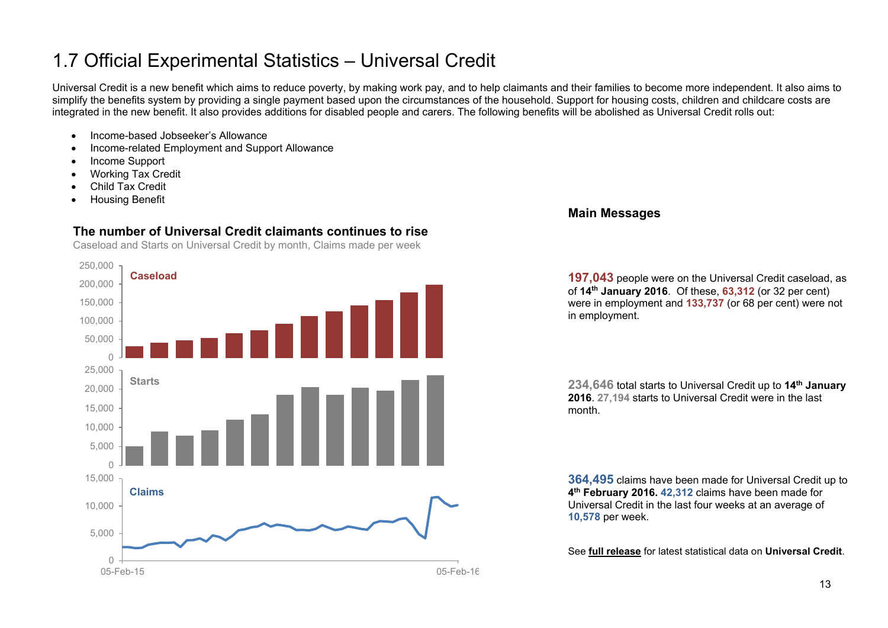# <span id="page-12-0"></span>1.7 Official Experimental Statistics – Universal Credit

Universal Credit is a new benefit which aims to reduce poverty, by making work pay, and to help claimants and their families to become more independent. It also aims to simplify the benefits system by providing a single payment based upon the circumstances of the household. Support for housing costs, children and childcare costs are integrated in the new benefit. It also provides additions for disabled people and carers. The following benefits will be abolished as Universal Credit rolls out:

- Income-based Jobseeker's Allowance
- Income-related Employment and Support Allowance
- Income Support
- Working Tax Credit
- Child Tax Credit
- Housing Benefit

## **The number of Universal Credit claimants continues to rise**

Caseload and Starts on Universal Credit by month, Claims made per week



#### **Main Messages**

**197,043** people were on the Universal Credit caseload, as of **14th January 2016**. Of these, **63,312** (or 32 per cent) were in employment and 133,737 (or 68 per cent) were not in employment.

**234,646** total starts to Universal Credit up to **14th January 2016**. **27,194** starts to Universal Credit were in the last month.

**364,495** claims have been made for Universal Credit up to **4th February 2016. 42,312** claims have been made for Universal Credit in the last four weeks at an average of **10,578** per week.

See **[full release](https://www.gov.uk/government/collections/universal-credit-statistics)** for latest statistical data on **Universal Credit**.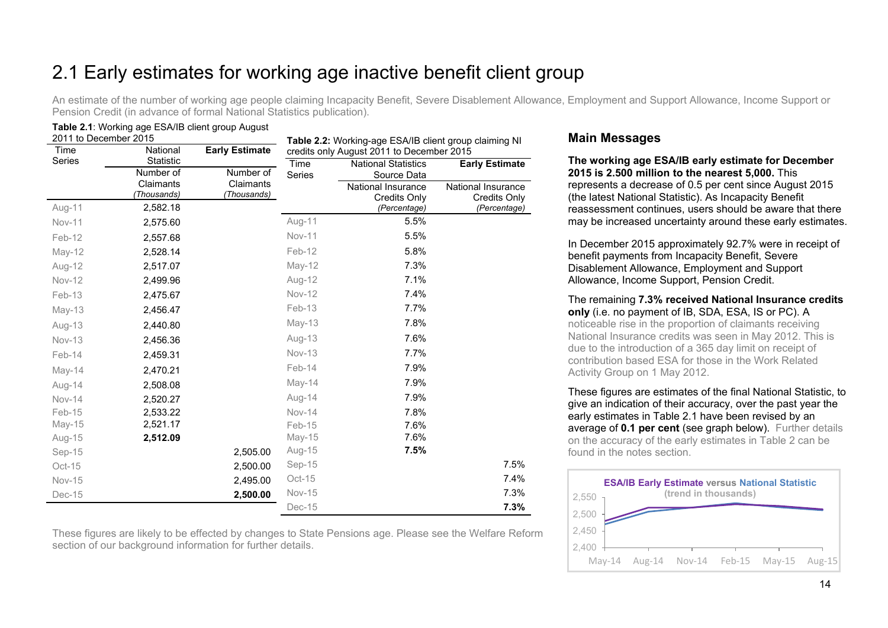# <span id="page-13-0"></span>2.1 Early estimates for working age inactive benefit client group

An estimate of the number of working age people claiming Incapacity Benefit, Severe Disablement Allowance, Employment and Support Allowance, Income Support or Pension Credit (in advance of formal National Statistics publication).

## **Table 2.1**: Working age ESA/IB client group August

| 2011 to December 2015 |                          |                          | Table 2.2: Working-age ESA/IB client group claiming NI |                            |                       |  |  |
|-----------------------|--------------------------|--------------------------|--------------------------------------------------------|----------------------------|-----------------------|--|--|
| Time                  | National                 | <b>Early Estimate</b>    | credits only August 2011 to December 2015              |                            |                       |  |  |
| Series                | Statistic                |                          | Time                                                   | <b>National Statistics</b> | <b>Early Estimate</b> |  |  |
|                       | Number of                | Number of                | Series                                                 | Source Data                |                       |  |  |
|                       | Claimants<br>(Thousands) | Claimants<br>(Thousands) |                                                        | National Insurance         | National Insurance    |  |  |
|                       |                          |                          |                                                        | <b>Credits Only</b>        | <b>Credits Only</b>   |  |  |
| Aug-11                | 2,582.18                 |                          |                                                        | (Percentage)               | (Percentage)          |  |  |
| Nov-11                | 2,575.60                 |                          | Aug-11                                                 | 5.5%                       |                       |  |  |
| Feb-12                | 2,557.68                 |                          | <b>Nov-11</b>                                          | 5.5%                       |                       |  |  |
| May-12                | 2,528.14                 |                          | Feb-12                                                 | 5.8%                       |                       |  |  |
| Aug-12                | 2,517.07                 |                          | May-12                                                 | 7.3%                       |                       |  |  |
| Nov-12                | 2,499.96                 |                          | Aug-12                                                 | 7.1%                       |                       |  |  |
| Feb-13                | 2,475.67                 |                          | <b>Nov-12</b>                                          | 7.4%                       |                       |  |  |
| $May-13$              | 2,456.47                 |                          | Feb-13                                                 | 7.7%                       |                       |  |  |
| Aug-13                | 2,440.80                 |                          | $May-13$                                               | 7.8%                       |                       |  |  |
| Nov-13                | 2,456.36                 |                          | Aug-13                                                 | 7.6%                       |                       |  |  |
| Feb-14                | 2,459.31                 |                          | Nov-13                                                 | 7.7%                       |                       |  |  |
| May-14                | 2,470.21                 |                          | Feb-14                                                 | 7.9%                       |                       |  |  |
| Aug-14                | 2,508.08                 |                          | May-14                                                 | 7.9%                       |                       |  |  |
| <b>Nov-14</b>         | 2,520.27                 |                          | Aug-14                                                 | 7.9%                       |                       |  |  |
| Feb-15                | 2,533.22                 |                          | <b>Nov-14</b>                                          | 7.8%                       |                       |  |  |
| May-15                | 2,521.17                 |                          | Feb-15                                                 | 7.6%                       |                       |  |  |
| Aug-15                | 2,512.09                 |                          | $May-15$                                               | 7.6%                       |                       |  |  |
| Sep-15                |                          | 2,505.00                 | Aug-15                                                 | 7.5%                       |                       |  |  |
| Oct-15                |                          | 2,500.00                 | Sep-15                                                 |                            | 7.5%                  |  |  |
| <b>Nov-15</b>         |                          | 2,495.00                 | Oct-15                                                 |                            | 7.4%                  |  |  |
| Dec-15                |                          | 2,500.00                 | <b>Nov-15</b>                                          |                            | 7.3%                  |  |  |
|                       |                          |                          | Dec-15                                                 |                            | 7.3%                  |  |  |

These figures are likely to be effected by changes to State Pensions age. Please see the Welfare Reform section of our background information for further details.

#### **Main Messages**

**The working age ESA/IB early estimate for December 2015 is 2.500 million to the nearest 5,000.** This represents a decrease of 0.5 per cent since August 2015 (the latest National Statistic). As Incapacity Benefit reassessment continues, users should be aware that there may be increased uncertainty around these early estimates.

In December 2015 approximately 92.7% were in receipt of benefit payments from Incapacity Benefit, Severe Disablement Allowance, Employment and Support Allowance, Income Support, Pension Credit.

The remaining **7.3% received National Insurance credits only** (i.e. no payment of IB, SDA, ESA, IS or PC). A noticeable rise in the proportion of claimants receiving National Insurance credits was seen in May 2012. This is due to the introduction of a 365 day limit on receipt of contribution based ESA for those in the Work Related

Activity Group on 1 May 2012.

These figures are estimates of the final National Statistic, to give an indication of their accuracy, over the past year the early estimates in Table 2.1 have been revised by an average of **0.1 per cent** (see graph below). Further details on the accuracy of the early estimates in Table 2 can be found in the notes section.

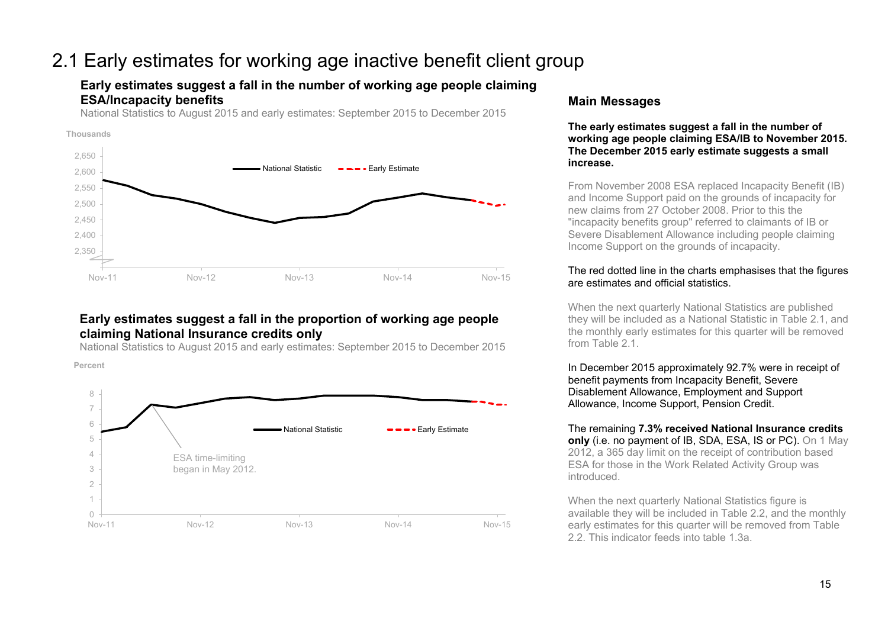## 2.1 Early estimates for working age inactive benefit client group

#### **Early estimates suggest a fall in the number of working age people claiming ESA/Incapacity benefits**

National Statistics to August 2015 and early estimates: September 2015 to December 2015



#### **Early estimates suggest a fall in the proportion of working age people claiming National Insurance credits only**

National Statistics to August 2015 and early estimates: September 2015 to December 2015

**Percent**



#### **Main Messages**

**The early estimates suggest a fall in the number of working age people claiming ESA/IB to November 2015. The December 2015 early estimate suggests a small increase.**

From November 2008 ESA replaced Incapacity Benefit (IB) and Income Support paid on the grounds of incapacity for new claims from 27 October 2008. Prior to this the "incapacity benefits group" referred to claimants of IB or Severe Disablement Allowance including people claiming Income Support on the grounds of incapacity.

#### The red dotted line in the charts emphasises that the figures are estimates and official statistics.

When the next quarterly National Statistics are published they will be included as a National Statistic in Table 2.1, and the monthly early estimates for this quarter will be removed from Table 2.1

In December 2015 approximately 92.7% were in receipt of benefit payments from Incapacity Benefit, Severe Disablement Allowance, Employment and Support Allowance, Income Support, Pension Credit.

The remaining **7.3% received National Insurance credits only** (i.e. no payment of IB, SDA, ESA, IS or PC). On 1 May 2012, a 365 day limit on the receipt of contribution based ESA for those in the Work Related Activity Group was introduced.

When the next quarterly National Statistics figure is available they will be included in Table 2.2, and the monthly early estimates for this quarter will be removed from Table 2.2. This indicator feeds into table 1.3a.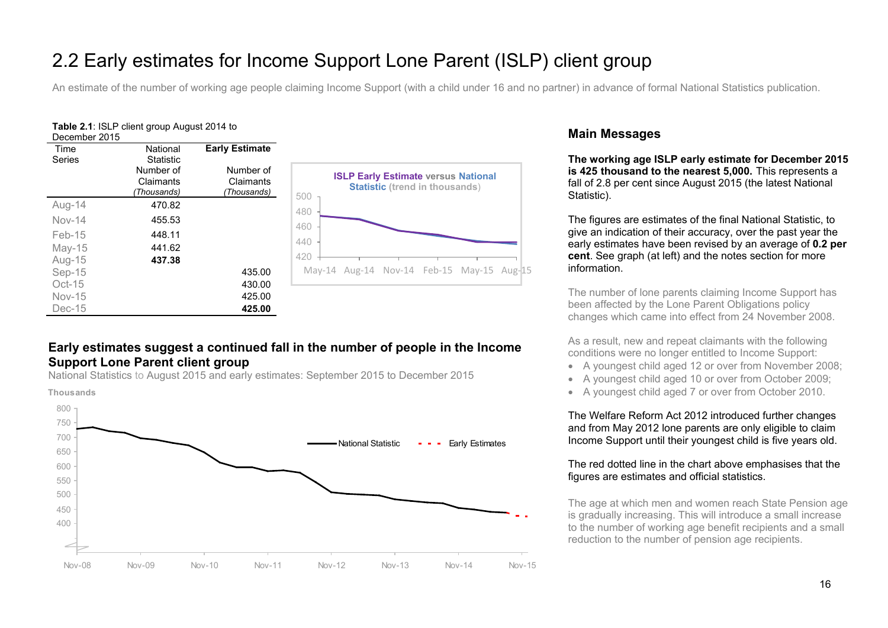# 2.2 Early estimates for Income Support Lone Parent (ISLP) client group

An estimate of the number of working age people claiming Income Support (with a child under 16 and no partner) in advance of formal National Statistics publication.

#### **Table 2.1**: ISLP client group August 2014 to December 2015

| Time          | National         | <b>Early Estimate</b> |                                              |
|---------------|------------------|-----------------------|----------------------------------------------|
| Series        | <b>Statistic</b> |                       |                                              |
|               | Number of        | Number of             |                                              |
|               | Claimants        | Claimants             | <b>ISLP Early Estimate versus National</b>   |
|               | (Thousands)      | (Thousands)           | <b>Statistic (trend in thousands)</b>        |
|               |                  |                       | 500                                          |
| Aug-14        | 470.82           |                       | 480                                          |
| $Nov-14$      | 455.53           |                       |                                              |
| Feb-15        | 448.11           |                       | 460                                          |
|               |                  |                       | 440                                          |
| $May-15$      | 441.62           |                       |                                              |
| Aug-15        | 437.38           |                       | 420                                          |
| Sep-15        |                  | 435.00                | Aug-14 Nov-14 Feb-15 May-15 Aug-15<br>Mav-14 |
| $Oct-15$      |                  | 430.00                |                                              |
| <b>Nov-15</b> |                  | 425.00                |                                              |
| $Dec-15$      |                  | 425.00                |                                              |

#### **Early estimates suggest a continued fall in the number of people in the Income Support Lone Parent client group**

National Statistics to August 2015 and early estimates: September 2015 to December 2015



#### **Main Messages**

**The working age ISLP early estimate for December 2015 is 425 thousand to the nearest 5,000.** This represents a fall of 2.8 per cent since August 2015 (the latest National Statistic).

The figures are estimates of the final National Statistic, to give an indication of their accuracy, over the past year the early estimates have been revised by an average of **0.2 per cent**. See graph (at left) and the notes section for more information.

The number of lone parents claiming Income Support has been affected by the Lone Parent Obligations policy changes which came into effect from 24 November 2008.

As a result, new and repeat claimants with the following conditions were no longer entitled to Income Support:

- A youngest child aged 12 or over from November 2008;
- A youngest child aged 10 or over from October 2009;
- A youngest child aged 7 or over from October 2010.

The Welfare Reform Act 2012 introduced further changes and from May 2012 lone parents are only eligible to claim Income Support until their youngest child is five years old.

#### The red dotted line in the chart above emphasises that the figures are estimates and official statistics.

The age at which men and women reach State Pension age is gradually increasing. This will introduce a small increase to the number of working age benefit recipients and a small reduction to the number of pension age recipients.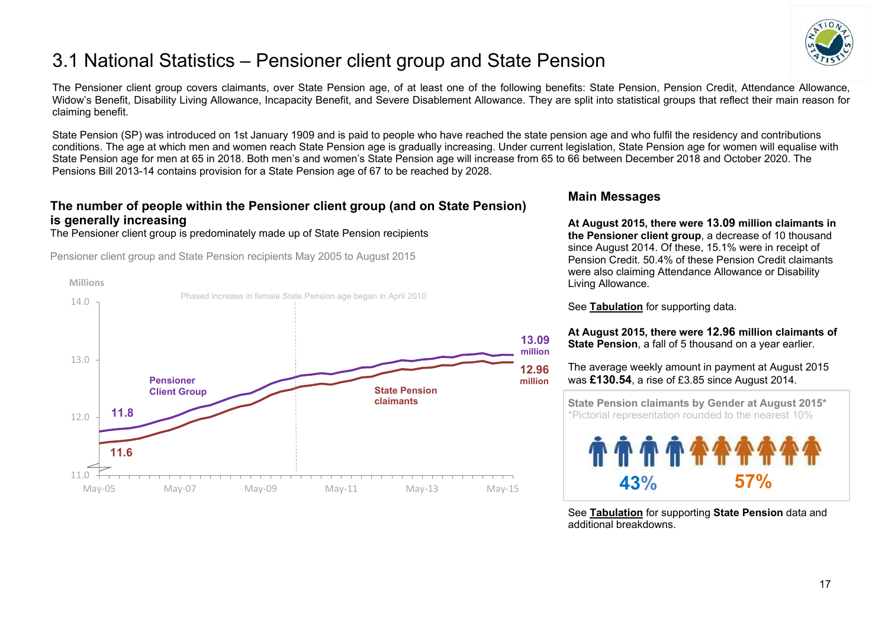

# <span id="page-16-0"></span>3.1 National Statistics – Pensioner client group and State Pension

The Pensioner client group covers claimants, over State Pension age, of at least one of the following benefits: State Pension, Pension Credit, Attendance Allowance, Widow's Benefit, Disability Living Allowance, Incapacity Benefit, and Severe Disablement Allowance. They are split into statistical groups that reflect their main reason for claiming benefit.

State Pension (SP) was introduced on 1st January 1909 and is paid to people who have reached the state pension age and who fulfil the residency and contributions conditions. The age at which men and women reach State Pension age is gradually increasing. Under current legislation, State Pension age for women will equalise with State Pension age for men at 65 in 2018. Both men's and women's State Pension age will increase from 65 to 66 between December 2018 and October 2020. The Pensions Bill 2013-14 contains provision for a State Pension age of 67 to be reached by 2028.

## **The number of people within the Pensioner client group (and on State Pension) is generally increasing**

The Pensioner client group is predominately made up of State Pension recipients

Pensioner client group and State Pension recipients May 2005 to August 2015



#### **Main Messages**

**At August 2015, there were 13.09 million claimants in the Pensioner client group**, a decrease of 10 thousand since August 2014. Of these, 15.1% were in receipt of Pension Credit. 50.4% of these Pension Credit claimants were also claiming Attendance Allowance or Disability Living Allowance.

See **[Tabulation](http://tabulation-tool.dwp.gov.uk/100pc/pa/ccdate/ccpencomb/a_carate_r_ccdate_c_ccpencomb.html)** for supporting data.

#### **At August 2015, there were 12.96 million claimants of State Pension**, a fall of 5 thousand on a year earlier.

The average weekly amount in payment at August 2015 was **£130.54**, a rise of £3.85 since August 2014.

 **State Pension claimants by Gender at August 2015\*** \*Pictorial representation rounded to the nearest 10%



See **[Tabulation](http://ifdnsas1/modstats/updateAug15/100pc/pa/ccdate/ccpencomb/a_carate_r_ccdate_c_ccpencomb.html)** for supporting **State Pension** data and additional breakdowns.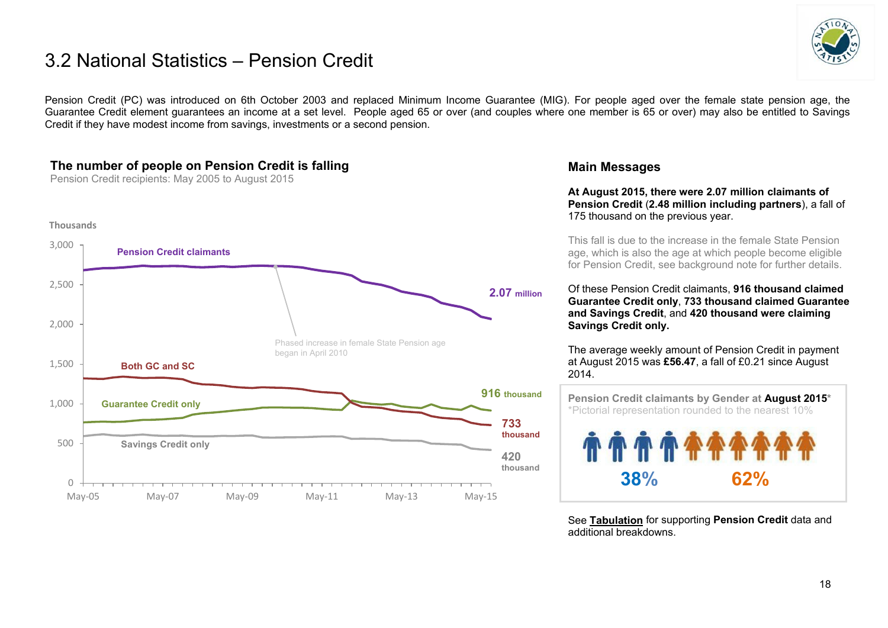## 3.2 National Statistics – Pension Credit



Pension Credit (PC) was introduced on 6th October 2003 and replaced Minimum Income Guarantee (MIG). For people aged over the female state pension age, the Guarantee Credit element guarantees an income at a set level. People aged 65 or over (and couples where one member is 65 or over) may also be entitled to Savings Credit if they have modest income from savings, investments or a second pension.

## **The number of people on Pension Credit is falling**

Pension Credit recipients: May 2005 to August 2015



#### **Main Messages**

**At August 2015, there were 2.07 million claimants of Pension Credit** (**2.48 million including partners**), a fall of 175 thousand on the previous year.

This fall is due to the increase in the female State Pension age, which is also the age at which people become eligible for Pension Credit, see background note for further details.

Of these Pension Credit claimants, **916 thousand claimed Guarantee Credit only**, **733 thousand claimed Guarantee and Savings Credit**, and **420 thousand were claiming Savings Credit only.**

The average weekly amount of Pension Credit in payment at August 2015 was **£56.47**, a fall of £0.21 since August 2014.

 **Pension Credit claimants by Gender at August 2015\***  \*Pictorial representation rounded to the nearest 10% **38% 62%**

See **[Tabulation](http://tabulation-tool.dwp.gov.uk/100pc/pc/ccdate/pctype/a_carate_r_ccdate_c_pctype.html)** for supporting **Pension Credit** data and additional breakdowns.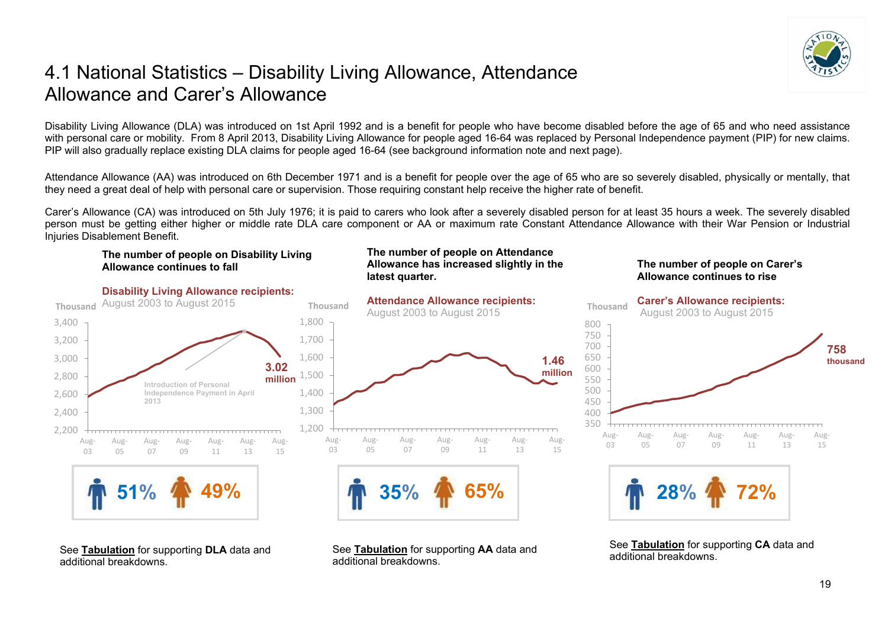

## <span id="page-18-0"></span>4.1 National Statistics – Disability Living Allowance, Attendance Allowance and Carer's Allowance

Disability Living Allowance (DLA) was introduced on 1st April 1992 and is a benefit for people who have become disabled before the age of 65 and who need assistance with personal care or mobility. From 8 April 2013, Disability Living Allowance for people aged 16-64 was replaced by Personal Independence payment (PIP) for new claims. PIP will also gradually replace existing DLA claims for people aged 16-64 (see background information note and next page).

Attendance Allowance (AA) was introduced on 6th December 1971 and is a benefit for people over the age of 65 who are so severely disabled, physically or mentally, that they need a great deal of help with personal care or supervision. Those requiring constant help receive the higher rate of benefit.

Carer's Allowance (CA) was introduced on 5th July 1976; it is paid to carers who look after a severely disabled person for at least 35 hours a week. The severely disabled person must be getting either higher or middle rate DLA care component or AA or maximum rate Constant Attendance Allowance with their War Pension or Industrial Injuries Disablement Benefit.

#### **The number of people on Disability Living Allowance continues to fall**



See **[Tabulation](http://tabulation-tool.dwp.gov.uk/100pc/dla/tabtool_dla.html)** for supporting **DLA** data and additional breakdowns.

#### **The number of people on Attendance Allowance has increased slightly in the latest quarter.**



See **[Tabulation](http://tabulation-tool.dwp.gov.uk/100pc/aa/tabtool_aa.html)** for supporting **AA** data and additional breakdowns.

#### **The number of people on Carer's Allowance continues to rise**



See **[Tabulation](http://tabulation-tool.dwp.gov.uk/100pc/ca/tabtool_ca.html)** for supporting **CA** data and additional breakdowns.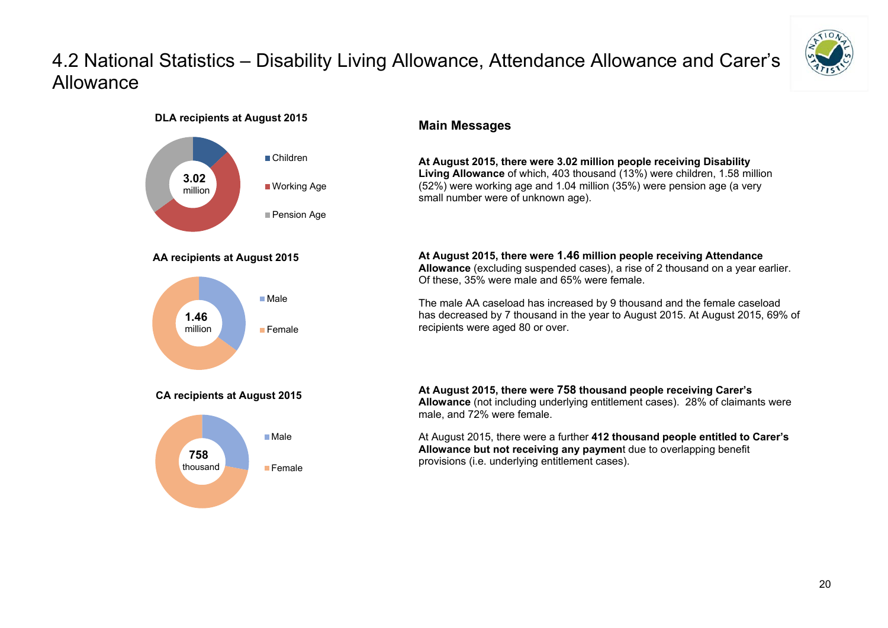# 4.2 National Statistics – Disability Living Allowance, Attendance Allowance and Carer's Allowance



**DLA recipients at August 2015**



#### **Main Messages**

**At August 2015, there were 3.02 million people receiving Disability Living Allowance** of which, 403 thousand (13%) were children, 1.58 million (52%) were working age and 1.04 million (35%) were pension age (a very small number were of unknown age).

**At August 2015, there were 1.46 million people receiving Attendance Allowance** (excluding suspended cases), a rise of 2 thousand on a year earlier. Of these, 35% were male and 65% were female.

The male AA caseload has increased by 9 thousand and the female caseload has decreased by 7 thousand in the year to August 2015. At August 2015, 69% of recipients were aged 80 or over.

**At August 2015, there were 758 thousand people receiving Carer's Allowance** (not including underlying entitlement cases). 28% of claimants were male, and 72% were female.

At August 2015, there were a further **412 thousand people entitled to Carer's Allowance but not receiving any paymen**t due to overlapping benefit provisions (i.e. underlying entitlement cases).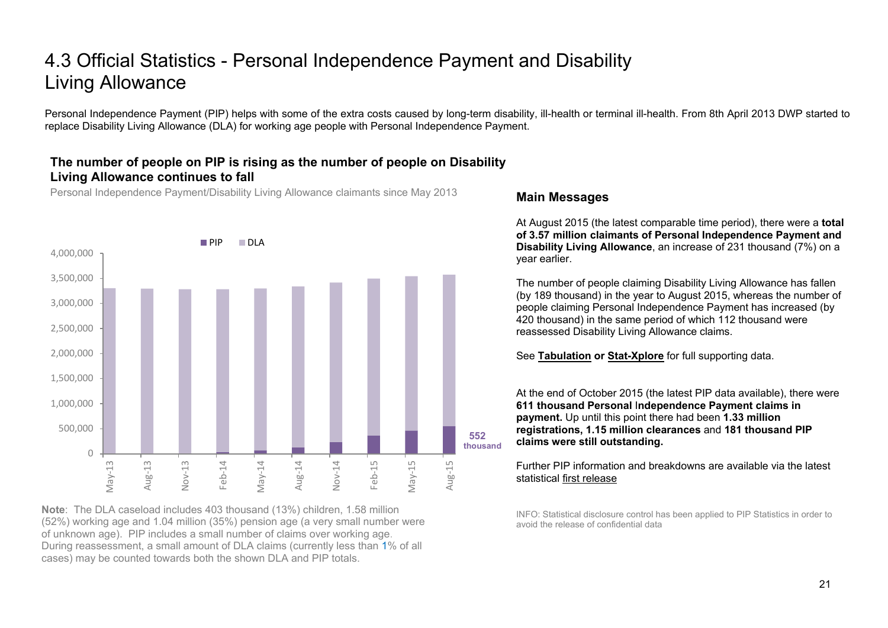# 4.3 Official Statistics - Personal Independence Payment and Disability Living Allowance

Personal Independence Payment (PIP) helps with some of the extra costs caused by long-term disability, ill-health or terminal ill-health. From 8th April 2013 DWP started to replace Disability Living Allowance (DLA) for working age people with Personal Independence Payment.

### **The number of people on PIP is rising as the number of people on Disability Living Allowance continues to fall**

Personal Independence Payment/Disability Living Allowance claimants since May 2013



**Note**: The DLA caseload includes 403 thousand (13%) children, 1.58 million (52%) working age and 1.04 million (35%) pension age (a very small number were of unknown age). PIP includes a small number of claims over working age. During reassessment, a small amount of DLA claims (currently less than 1% of all cases) may be counted towards both the shown DLA and PIP totals.

#### **Main Messages**

At August 2015 (the latest comparable time period), there were a **total of 3.57 million claimants of Personal Independence Payment and Disability Living Allowance**, an increase of 231 thousand (7%) on a year earlier.

The number of people claiming Disability Living Allowance has fallen (by 189 thousand) in the year to August 2015, whereas the number of people claiming Personal Independence Payment has increased (by 420 thousand) in the same period of which 112 thousand were reassessed Disability Living Allowance claims.

See **[Tabulation](http://tabulation-tool.dwp.gov.uk/100pc/dla/tabtool_dla.html) or [Stat-Xplore](https://stat-xplore.dwp.gov.uk/)** for full supporting data.

At the end of October 2015 (the latest PIP data available), there were **611 thousand Personal** I**ndependence Payment claims in payment.** Up until this point there had been **1.33 million registrations, 1.15 million clearances** and **181 thousand PIP claims were still outstanding.** 

Further PIP information and breakdowns are available via the latest statistical [first release](https://www.gov.uk/government/collections/personal-independence-payment-statistics)

INFO: Statistical disclosure control has been applied to PIP Statistics in order to avoid the release of confidential data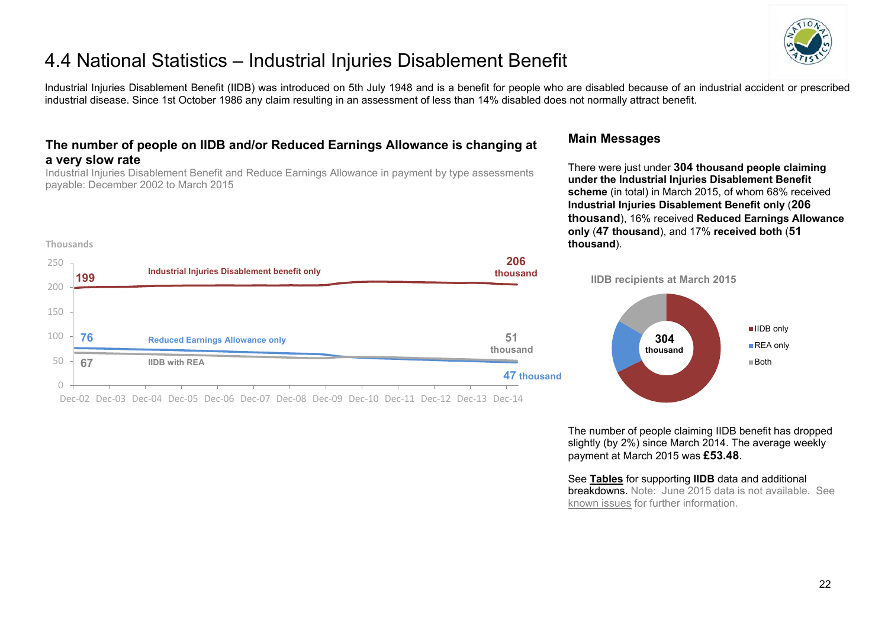

# 4.4 National Statistics – Industrial Injuries Disablement Benefit

Industrial Injuries Disablement Benefit (IIDB) was introduced on 5th July 1948 and is a benefit for people who are disabled because of an industrial accident or prescribed industrial disease. Since 1st October 1986 any claim resulting in an assessment of less than 14% disabled does not normally attract benefit.

## **The number of people on IIDB and/or Reduced Earnings Allowance is changing at a very slow rate**

Industrial Injuries Disablement Benefit and Reduce Earnings Allowance in payment by type assessments payable: December 2002 to March 2015

**Thousands**

#### **Main Messages**

There were just under **304 thousand people claiming under the Industrial Injuries Disablement Benefit scheme** (in total) in March 2015, of whom 68% received **Industrial Injuries Disablement Benefit only** (**206 thousand**), 16% received **Reduced Earnings Allowance only** (**47 thousand**), and 17% **received both** (**51 thousand**).



The number of people claiming IIDB benefit has dropped slightly (by 2%) since March 2014. The average weekly payment at March 2015 was **£53.48**.

#### See **[Tables](https://www.gov.uk/government/organisations/department-for-work-pensions/series/industrial-injuries-disablement-benefit-quarterly-statistics)** for supporting **IIDB** data and additional

breakdowns. Note: June 2015 data is not available. See [known issues](#page-25-1) for further information.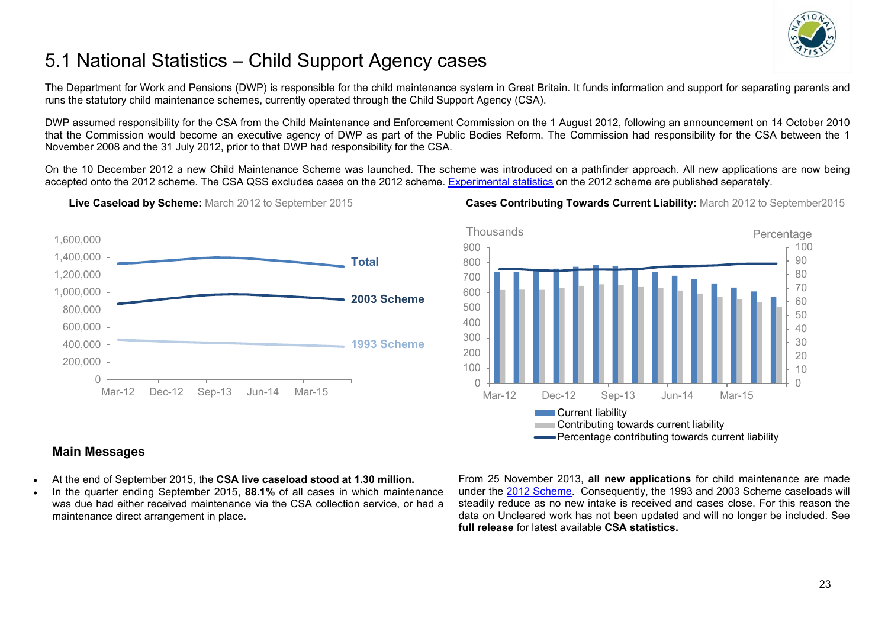

# <span id="page-22-0"></span>5.1 National Statistics – Child Support Agency cases

The Department for Work and Pensions (DWP) is responsible for the child maintenance system in Great Britain. It funds information and support for separating parents and runs the statutory child maintenance schemes, currently operated through the Child Support Agency (CSA).

DWP assumed responsibility for the CSA from the Child Maintenance and Enforcement Commission on the 1 August 2012, following an announcement on 14 October 2010 that the Commission would become an executive agency of DWP as part of the Public Bodies Reform. The Commission had responsibility for the CSA between the 1 November 2008 and the 31 July 2012, prior to that DWP had responsibility for the CSA.

On the 10 December 2012 a new Child Maintenance Scheme was launched. The scheme was introduced on a pathfinder approach. All new applications are now being accepted onto the 2012 scheme. The CSA QSS excludes cases on the 2012 scheme. [Experimental statistics](https://www.gov.uk/government/collections/statistics-on-the-2012-statutory-child-maintenance-scheme) on the 2012 scheme are published separately.



**Live Caseload by Scheme:** March 2012 to September 2015 **Cases Contributing Towards Current Liability:** March 2012 to September2015



## **Main Messages**

- At the end of September 2015, the **CSA live caseload stood at 1.30 million.**
- In the quarter ending September 2015, **88.1%** of all cases in which maintenance was due had either received maintenance via the CSA collection service, or had a maintenance direct arrangement in place.

From 25 November 2013, **all new applications** for child maintenance are made under the [2012 Scheme.](https://www.gov.uk/government/collections/statistics-on-the-2012-statutory-child-maintenance-scheme) Consequently, the 1993 and 2003 Scheme caseloads will steadily reduce as no new intake is received and cases close. For this reason the data on Uncleared work has not been updated and will no longer be included. See **[full release](https://www.gov.uk/government/organisations/department-for-work-pensions/series/child-support-agency-quarterly-summary-statistics--2)** for latest available **CSA statistics.**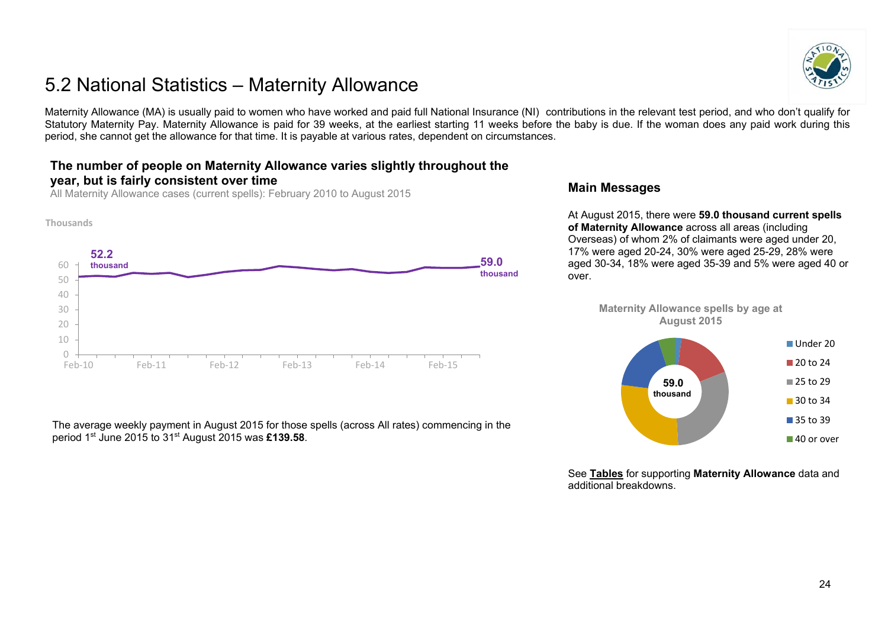# <span id="page-23-0"></span>5.2 National Statistics – Maternity Allowance

Maternity Allowance (MA) is usually paid to women who have worked and paid full National Insurance (NI) contributions in the relevant test period, and who don't qualify for Statutory Maternity Pay. Maternity Allowance is paid for 39 weeks, at the earliest starting 11 weeks before the baby is due. If the woman does any paid work during this period, she cannot get the allowance for that time. It is payable at various rates, dependent on circumstances.

## **The number of people on Maternity Allowance varies slightly throughout the year, but is fairly consistent over time**

All Maternity Allowance cases (current spells): February 2010 to August 2015



The average weekly payment in August 2015 for those spells (across All rates) commencing in the period 1st June 2015 to 31st August 2015 was **£139.58**.

#### **Main Messages**

At August 2015, there were **59.0 thousand current spells of Maternity Allowance** across all areas (including Overseas) of whom 2% of claimants were aged under 20, 17% were aged 20-24, 30% were aged 25-29, 28% were aged 30-34, 18% were aged 35-39 and 5% were aged 40 or over.

> **Maternity Allowance spells by age at August 2015**



See **[Tables](https://www.gov.uk/government/collections/maternity-allowance-quarterly-statistics)** for supporting **Maternity Allowance** data and additional breakdowns.

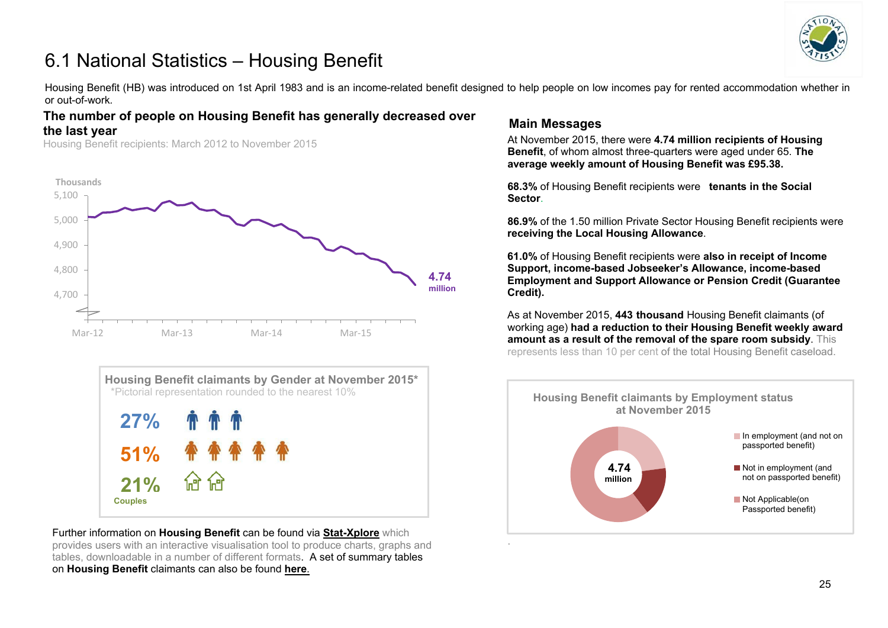

# <span id="page-24-0"></span>6.1 National Statistics – Housing Benefit

Housing Benefit (HB) was introduced on 1st April 1983 and is an income-related benefit designed to help people on low incomes pay for rented accommodation whether in or out-of-work*.* 

#### **The number of people on Housing Benefit has generally decreased over the last year**

Housing Benefit recipients: March 2012 to November 2015





Further information on **Housing Benefit** can be found via **[Stat-Xplore](https://stat-xplore.dwp.gov.uk/)** which provides users with an interactive visualisation tool to produce charts, graphs and tables, downloadable in a number of different formats. A set of summary tables on **Housing Benefit** claimants can also be found **[here](https://www.gov.uk/government/collections/housing-benefit-and-council-tax-benefit-caseload-statistics--2)**.

## **Main Messages**

At November 2015, there were **4.74 million recipients of Housing Benefit**, of whom almost three-quarters were aged under 65. **The average weekly amount of Housing Benefit was £95.38.**

**68.3%** of Housing Benefit recipients were **tenants in the Social Sector**.

**86.9%** of the 1.50 million Private Sector Housing Benefit recipients were **receiving the Local Housing Allowance**.

**61.0%** of Housing Benefit recipients were **also in receipt of Income Support, income-based Jobseeker's Allowance, income-based Employment and Support Allowance or Pension Credit (Guarantee Credit).**

As at November 2015, **443 thousand** Housing Benefit claimants (of working age) **had a reduction to their Housing Benefit weekly award amount as a result of the removal of the spare room subsidy**. This represents less than 10 per cent of the total Housing Benefit caseload.